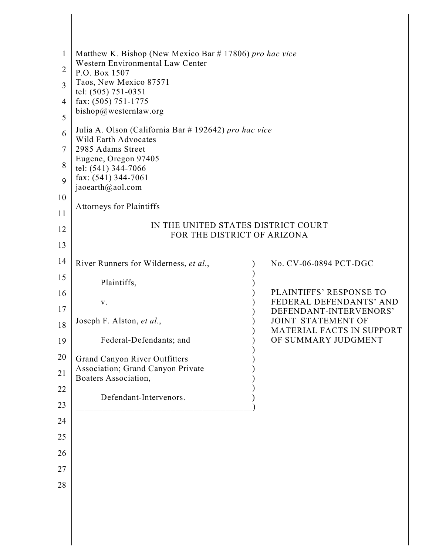|          | Matthew K. Bishop (New Mexico Bar # 17806) pro hac vice                       |  |                                                           |
|----------|-------------------------------------------------------------------------------|--|-----------------------------------------------------------|
| 2        | Western Environmental Law Center<br>P.O. Box 1507                             |  |                                                           |
| 3        | Taos, New Mexico 87571<br>tel: (505) 751-0351                                 |  |                                                           |
| 4        | fax: (505) 751-1775                                                           |  |                                                           |
| 5        | bishop@westernlaw.org                                                         |  |                                                           |
| 6        | Julia A. Olson (California Bar # 192642) pro hac vice<br>Wild Earth Advocates |  |                                                           |
| 7        | 2985 Adams Street<br>Eugene, Oregon 97405                                     |  |                                                           |
| 8        | tel: (541) 344-7066                                                           |  |                                                           |
| 9        | fax: (541) 344-7061<br>jaoearth@aol.com                                       |  |                                                           |
| 10       | Attorneys for Plaintiffs                                                      |  |                                                           |
| 11       |                                                                               |  |                                                           |
| 12       | IN THE UNITED STATES DISTRICT COURT<br>FOR THE DISTRICT OF ARIZONA            |  |                                                           |
| 13       |                                                                               |  |                                                           |
| 14       | River Runners for Wilderness, et al.,                                         |  | No. CV-06-0894 PCT-DGC                                    |
| 15       | Plaintiffs,                                                                   |  |                                                           |
| 16       | V.                                                                            |  | <b>PLAINTIFFS' RESPONSE TO</b><br>FEDERAL DEFENDANTS' AND |
| 17       | Joseph F. Alston, et al.,                                                     |  | DEFENDANT-INTERVENORS'<br><b>JOINT STATEMENT OF</b>       |
| 18       |                                                                               |  | MATERIAL FACTS IN SUPPORT                                 |
| 19       | Federal-Defendants; and                                                       |  | OF SUMMARY JUDGMENT                                       |
| 20       | <b>Grand Canyon River Outfitters</b><br>Association; Grand Canyon Private     |  |                                                           |
| 21       | Boaters Association,                                                          |  |                                                           |
| 22       | Defendant-Intervenors.                                                        |  |                                                           |
| 23       |                                                                               |  |                                                           |
| 24       |                                                                               |  |                                                           |
| 25       |                                                                               |  |                                                           |
| 26       |                                                                               |  |                                                           |
| 27<br>28 |                                                                               |  |                                                           |
|          |                                                                               |  |                                                           |
|          |                                                                               |  |                                                           |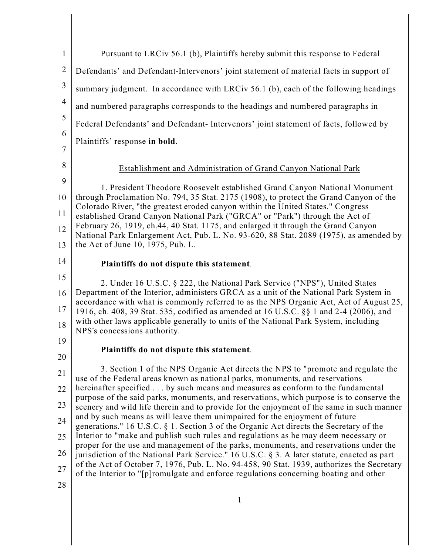| $\mathbf{1}$        | Pursuant to LRCiv 56.1 (b), Plaintiffs hereby submit this response to Federal                                                                                                         |
|---------------------|---------------------------------------------------------------------------------------------------------------------------------------------------------------------------------------|
| $\overline{2}$      | Defendants' and Defendant-Intervenors' joint statement of material facts in support of                                                                                                |
| $\mathfrak{Z}$      | summary judgment. In accordance with LRCiv 56.1 (b), each of the following headings                                                                                                   |
| $\overline{4}$      | and numbered paragraphs corresponds to the headings and numbered paragraphs in                                                                                                        |
| 5                   | Federal Defendants' and Defendant- Intervenors' joint statement of facts, followed by                                                                                                 |
| 6                   | Plaintiffs' response in bold.                                                                                                                                                         |
| $\overline{7}$<br>8 |                                                                                                                                                                                       |
| 9                   | Establishment and Administration of Grand Canyon National Park                                                                                                                        |
| 10                  | 1. President Theodore Roosevelt established Grand Canyon National Monument<br>through Proclamation No. 794, 35 Stat. 2175 (1908), to protect the Grand Canyon of the                  |
| 11                  | Colorado River, "the greatest eroded canyon within the United States." Congress<br>established Grand Canyon National Park ("GRCA" or "Park") through the Act of                       |
| 12                  | February 26, 1919, ch.44, 40 Stat. 1175, and enlarged it through the Grand Canyon                                                                                                     |
| 13                  | National Park Enlargement Act, Pub. L. No. 93-620, 88 Stat. 2089 (1975), as amended by<br>the Act of June 10, 1975, Pub. L.                                                           |
| 14                  | Plaintiffs do not dispute this statement.                                                                                                                                             |
| 15                  | 2. Under 16 U.S.C. § 222, the National Park Service ("NPS"), United States                                                                                                            |
| 16                  | Department of the Interior, administers GRCA as a unit of the National Park System in<br>accordance with what is commonly referred to as the NPS Organic Act, Act of August 25,       |
| 17                  | 1916, ch. 408, 39 Stat. 535, codified as amended at 16 U.S.C. §§ 1 and 2-4 (2006), and<br>with other laws applicable generally to units of the National Park System, including        |
| 18                  | NPS's concessions authority.                                                                                                                                                          |
| 19                  | Plaintiffs do not dispute this statement.                                                                                                                                             |
| 20                  | 3. Section 1 of the NPS Organic Act directs the NPS to "promote and regulate the                                                                                                      |
| 21<br>22            | use of the Federal areas known as national parks, monuments, and reservations<br>hereinafter specified by such means and measures as conform to the fundamental                       |
| 23                  | purpose of the said parks, monuments, and reservations, which purpose is to conserve the<br>scenery and wild life therein and to provide for the enjoyment of the same in such manner |
| 24                  | and by such means as will leave them unimpaired for the enjoyment of future                                                                                                           |
| 25                  | generations." 16 U.S.C. § 1. Section 3 of the Organic Act directs the Secretary of the<br>Interior to "make and publish such rules and regulations as he may deem necessary or        |
| 26                  | proper for the use and management of the parks, monuments, and reservations under the<br>jurisdiction of the National Park Service." 16 U.S.C. § 3. A later statute, enacted as part  |
| 27                  | of the Act of October 7, 1976, Pub. L. No. 94-458, 90 Stat. 1939, authorizes the Secretary<br>of the Interior to "[p]romulgate and enforce regulations concerning boating and other   |
| 28                  |                                                                                                                                                                                       |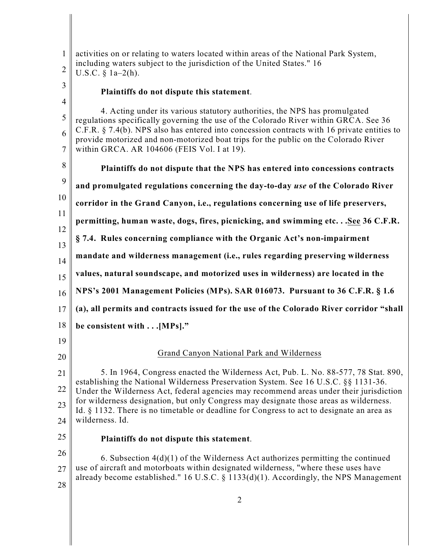| $\mathbf{1}$<br>$\overline{2}$ | activities on or relating to waters located within areas of the National Park System,<br>including waters subject to the jurisdiction of the United States." 16<br>U.S.C. $\S$ 1a-2(h).                                              |
|--------------------------------|--------------------------------------------------------------------------------------------------------------------------------------------------------------------------------------------------------------------------------------|
| 3<br>$\overline{4}$            | Plaintiffs do not dispute this statement.                                                                                                                                                                                            |
| 5                              | 4. Acting under its various statutory authorities, the NPS has promulgated<br>regulations specifically governing the use of the Colorado River within GRCA. See 36                                                                   |
| 6<br>7                         | C.F.R. $\S$ 7.4(b). NPS also has entered into concession contracts with 16 private entities to<br>provide motorized and non-motorized boat trips for the public on the Colorado River<br>within GRCA. AR 104606 (FEIS Vol. I at 19). |
| 8                              | Plaintiffs do not dispute that the NPS has entered into concessions contracts                                                                                                                                                        |
| 9                              | and promulgated regulations concerning the day-to-day use of the Colorado River                                                                                                                                                      |
| 10                             | corridor in the Grand Canyon, i.e., regulations concerning use of life preservers,                                                                                                                                                   |
| 11                             | permitting, human waste, dogs, fires, picnicking, and swimming etcSee 36 C.F.R.                                                                                                                                                      |
| 12<br>13                       | § 7.4. Rules concerning compliance with the Organic Act's non-impairment                                                                                                                                                             |
| 14                             | mandate and wilderness management (i.e., rules regarding preserving wilderness                                                                                                                                                       |
| 15                             | values, natural soundscape, and motorized uses in wilderness) are located in the                                                                                                                                                     |
| 16                             | NPS's 2001 Management Policies (MPs). SAR 016073. Pursuant to 36 C.F.R. § 1.6                                                                                                                                                        |
| 17                             | (a), all permits and contracts issued for the use of the Colorado River corridor "shall                                                                                                                                              |
| 18                             | be consistent with [MPs]."                                                                                                                                                                                                           |
| 19                             |                                                                                                                                                                                                                                      |
| 20                             | Grand Canyon National Park and Wilderness                                                                                                                                                                                            |
| 21                             | 5. In 1964, Congress enacted the Wilderness Act, Pub. L. No. 88-577, 78 Stat. 890,<br>establishing the National Wilderness Preservation System. See 16 U.S.C. §§ 1131-36.                                                            |
| 22                             | Under the Wilderness Act, federal agencies may recommend areas under their jurisdiction<br>for wilderness designation, but only Congress may designate those areas as wilderness.                                                    |
| 23                             | Id. § 1132. There is no timetable or deadline for Congress to act to designate an area as<br>wilderness. Id.                                                                                                                         |
| 24<br>25                       |                                                                                                                                                                                                                                      |
| 26                             | Plaintiffs do not dispute this statement.                                                                                                                                                                                            |
| 27                             | 6. Subsection $4(d)(1)$ of the Wilderness Act authorizes permitting the continued<br>use of aircraft and motorboats within designated wilderness, "where these uses have                                                             |
| 28                             | already become established." 16 U.S.C. $\S$ 1133(d)(1). Accordingly, the NPS Management                                                                                                                                              |
|                                |                                                                                                                                                                                                                                      |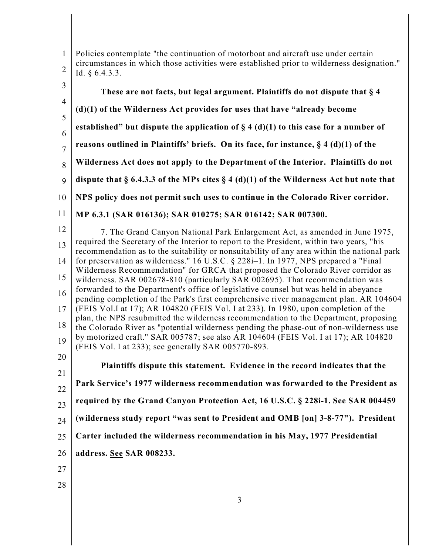1 2 Policies contemplate "the continuation of motorboat and aircraft use under certain circumstances in which those activities were established prior to wilderness designation." Id. § 6.4.3.3.

3 4 5 6 7 8 9 10 11 12 13 14 15 16 17 18 19 20 21 22 23 24 25 26 27 **These are not facts, but legal argument. Plaintiffs do not dispute that § 4 (d)(1) of the Wilderness Act provides for uses that have "already become established" but dispute the application of § 4 (d)(1) to this case for a number of reasons outlined in Plaintiffs' briefs. On its face, for instance, § 4 (d)(1) of the Wilderness Act does not apply to the Department of the Interior. Plaintiffs do not dispute that § 6.4.3.3 of the MPs cites § 4 (d)(1) of the Wilderness Act but note that NPS policy does not permit such uses to continue in the Colorado River corridor. MP 6.3.1 (SAR 016136); SAR 010275; SAR 016142; SAR 007300.**  7. The Grand Canyon National Park Enlargement Act, as amended in June 1975, required the Secretary of the Interior to report to the President, within two years, "his recommendation as to the suitability or nonsuitability of any area within the national park for preservation as wilderness." 16 U.S.C. § 228i–1. In 1977, NPS prepared a "Final Wilderness Recommendation" for GRCA that proposed the Colorado River corridor as wilderness. SAR 002678-810 (particularly SAR 002695). That recommendation was forwarded to the Department's office of legislative counsel but was held in abeyance pending completion of the Park's first comprehensive river management plan. AR 104604 (FEIS Vol.I at 17); AR 104820 (FEIS Vol. I at 233). In 1980, upon completion of the plan, the NPS resubmitted the wilderness recommendation to the Department, proposing the Colorado River as "potential wilderness pending the phase-out of non-wilderness use by motorized craft." SAR 005787; see also AR 104604 (FEIS Vol. I at 17); AR 104820 (FEIS Vol. I at 233); see generally SAR 005770-893. **Plaintiffs dispute this statement. Evidence in the record indicates that the Park Service's 1977 wilderness recommendation was forwarded to the President as required by the Grand Canyon Protection Act, 16 U.S.C. § 228i-1. See SAR 004459 (wilderness study report "was sent to President and OMB [on] 3-8-77"). President Carter included the wilderness recommendation in his May, 1977 Presidential address. See SAR 008233.** 

3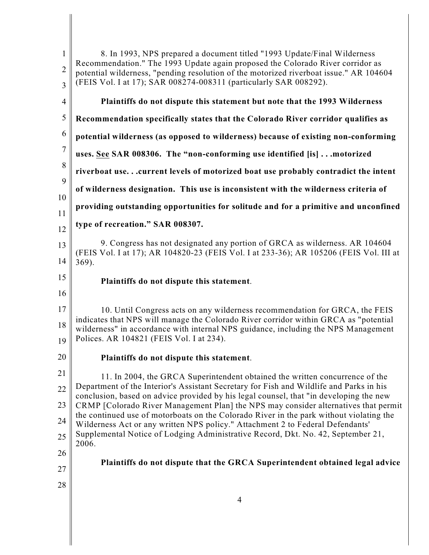| $\mathbf{1}$<br>$\overline{2}$<br>3 | 8. In 1993, NPS prepared a document titled "1993 Update/Final Wilderness<br>Recommendation." The 1993 Update again proposed the Colorado River corridor as<br>potential wilderness, "pending resolution of the motorized riverboat issue." AR 104604<br>(FEIS Vol. I at 17); SAR 008274-008311 (particularly SAR 008292). |
|-------------------------------------|---------------------------------------------------------------------------------------------------------------------------------------------------------------------------------------------------------------------------------------------------------------------------------------------------------------------------|
| $\overline{4}$                      | Plaintiffs do not dispute this statement but note that the 1993 Wilderness                                                                                                                                                                                                                                                |
| 5                                   | Recommendation specifically states that the Colorado River corridor qualifies as                                                                                                                                                                                                                                          |
| 6                                   | potential wilderness (as opposed to wilderness) because of existing non-conforming                                                                                                                                                                                                                                        |
| $\overline{7}$                      | uses. See SAR 008306. The "non-conforming use identified [is]  motorized                                                                                                                                                                                                                                                  |
| 8                                   | riverboat use current levels of motorized boat use probably contradict the intent                                                                                                                                                                                                                                         |
| 9                                   | of wilderness designation. This use is inconsistent with the wilderness criteria of                                                                                                                                                                                                                                       |
| 10<br>11                            | providing outstanding opportunities for solitude and for a primitive and unconfined                                                                                                                                                                                                                                       |
| 12                                  | type of recreation." SAR 008307.                                                                                                                                                                                                                                                                                          |
| 13<br>14                            | 9. Congress has not designated any portion of GRCA as wilderness. AR 104604<br>(FEIS Vol. I at 17); AR 104820-23 (FEIS Vol. I at 233-36); AR 105206 (FEIS Vol. III at<br>$369$ ).                                                                                                                                         |
| 15                                  | Plaintiffs do not dispute this statement.                                                                                                                                                                                                                                                                                 |
| 16                                  |                                                                                                                                                                                                                                                                                                                           |
| 17                                  | 10. Until Congress acts on any wilderness recommendation for GRCA, the FEIS<br>indicates that NPS will manage the Colorado River corridor within GRCA as "potential                                                                                                                                                       |
| 18<br>19                            | wilderness" in accordance with internal NPS guidance, including the NPS Management<br>Polices. AR 104821 (FEIS Vol. I at 234).                                                                                                                                                                                            |
| 20                                  | Plaintiffs do not dispute this statement.                                                                                                                                                                                                                                                                                 |
| 21                                  |                                                                                                                                                                                                                                                                                                                           |
| 22                                  | 11. In 2004, the GRCA Superintendent obtained the written concurrence of the<br>Department of the Interior's Assistant Secretary for Fish and Wildlife and Parks in his                                                                                                                                                   |
| 23                                  | conclusion, based on advice provided by his legal counsel, that "in developing the new<br>CRMP [Colorado River Management Plan] the NPS may consider alternatives that permit                                                                                                                                             |
| 24                                  | the continued use of motorboats on the Colorado River in the park without violating the<br>Wilderness Act or any written NPS policy." Attachment 2 to Federal Defendants'                                                                                                                                                 |
| 25                                  | Supplemental Notice of Lodging Administrative Record, Dkt. No. 42, September 21,                                                                                                                                                                                                                                          |
| 26                                  | 2006.                                                                                                                                                                                                                                                                                                                     |
| 27                                  | Plaintiffs do not dispute that the GRCA Superintendent obtained legal advice                                                                                                                                                                                                                                              |
|                                     |                                                                                                                                                                                                                                                                                                                           |
| 28                                  |                                                                                                                                                                                                                                                                                                                           |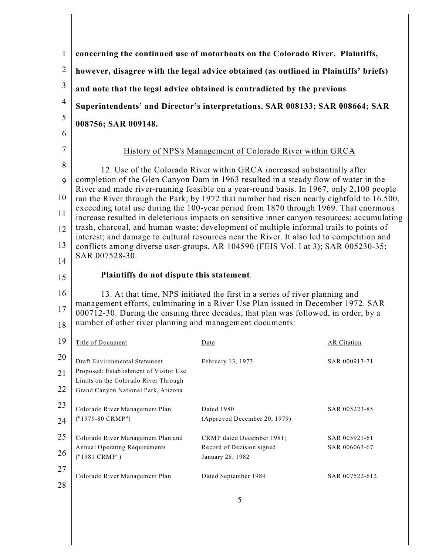| $\mathbf{1}$   |                                                                                                                                                                                                                                                                                            | concerning the continued use of motorboats on the Colorado River. Plaintiffs,                                                                                                     |                    |
|----------------|--------------------------------------------------------------------------------------------------------------------------------------------------------------------------------------------------------------------------------------------------------------------------------------------|-----------------------------------------------------------------------------------------------------------------------------------------------------------------------------------|--------------------|
| $\overline{2}$ | however, disagree with the legal advice obtained (as outlined in Plaintiffs' briefs)                                                                                                                                                                                                       |                                                                                                                                                                                   |                    |
| 3              | and note that the legal advice obtained is contradicted by the previous                                                                                                                                                                                                                    |                                                                                                                                                                                   |                    |
| $\overline{4}$ |                                                                                                                                                                                                                                                                                            | Superintendents' and Director's interpretations. SAR 008133; SAR 008664; SAR                                                                                                      |                    |
| 5              | 008756; SAR 009148.                                                                                                                                                                                                                                                                        |                                                                                                                                                                                   |                    |
| 6              |                                                                                                                                                                                                                                                                                            |                                                                                                                                                                                   |                    |
| $\overline{7}$ |                                                                                                                                                                                                                                                                                            | History of NPS's Management of Colorado River within GRCA                                                                                                                         |                    |
| 8              |                                                                                                                                                                                                                                                                                            | 12. Use of the Colorado River within GRCA increased substantially after                                                                                                           |                    |
| 9              |                                                                                                                                                                                                                                                                                            | completion of the Glen Canyon Dam in 1963 resulted in a steady flow of water in the<br>River and made river-running feasible on a year-round basis. In 1967, only 2,100 people    |                    |
| 10             |                                                                                                                                                                                                                                                                                            | ran the River through the Park; by 1972 that number had risen nearly eightfold to 16,500,<br>exceeding total use during the 100-year period from 1870 through 1969. That enormous |                    |
| 11             |                                                                                                                                                                                                                                                                                            | increase resulted in deleterious impacts on sensitive inner canyon resources: accumulating                                                                                        |                    |
| 12             | trash, charcoal, and human waste; development of multiple informal trails to points of<br>interest; and damage to cultural resources near the River. It also led to competition and<br>conflicts among diverse user-groups. AR 104590 (FEIS Vol. I at 3); SAR 005230-35;<br>SAR 007528-30. |                                                                                                                                                                                   |                    |
| 13             |                                                                                                                                                                                                                                                                                            |                                                                                                                                                                                   |                    |
| 14             | Plaintiffs do not dispute this statement.                                                                                                                                                                                                                                                  |                                                                                                                                                                                   |                    |
| 15             |                                                                                                                                                                                                                                                                                            |                                                                                                                                                                                   |                    |
| 16<br>17       | 13. At that time, NPS initiated the first in a series of river planning and<br>management efforts, culminating in a River Use Plan issued in December 1972. SAR                                                                                                                            |                                                                                                                                                                                   |                    |
| 18             | number of other river planning and management documents:                                                                                                                                                                                                                                   | 000712-30. During the ensuing three decades, that plan was followed, in order, by a                                                                                               |                    |
| 19             | Title of Document                                                                                                                                                                                                                                                                          | Date                                                                                                                                                                              | <b>AR</b> Citation |
| 20             |                                                                                                                                                                                                                                                                                            |                                                                                                                                                                                   |                    |
| 21             | Draft Environmental Statement<br>Proposed: Establishment of Visitor Use                                                                                                                                                                                                                    | February 13, 1973                                                                                                                                                                 | SAR 000913-71      |
| 22             | Limits on the Colorado River Through<br>Grand Canyon National Park, Arizona                                                                                                                                                                                                                |                                                                                                                                                                                   |                    |
| 23             | Colorado River Management Plan                                                                                                                                                                                                                                                             | Dated 1980                                                                                                                                                                        |                    |
| 24             | ("1979-80 CRMP")                                                                                                                                                                                                                                                                           | (Approved December 20, 1979)                                                                                                                                                      | SAR 005223-85      |
| 25             | Colorado River Management Plan and                                                                                                                                                                                                                                                         | CRMP dated December 1981;                                                                                                                                                         | SAR 005921-61      |
| 26             | Annual Operating Requirements<br>("1981 CRMP")                                                                                                                                                                                                                                             | Record of Decision signed<br>January 28, 1982                                                                                                                                     | SAR 006063-67      |
| 27             |                                                                                                                                                                                                                                                                                            |                                                                                                                                                                                   |                    |
| 28             | Colorado River Management Plan                                                                                                                                                                                                                                                             | Dated September 1989                                                                                                                                                              | SAR 007522-612     |
|                |                                                                                                                                                                                                                                                                                            |                                                                                                                                                                                   |                    |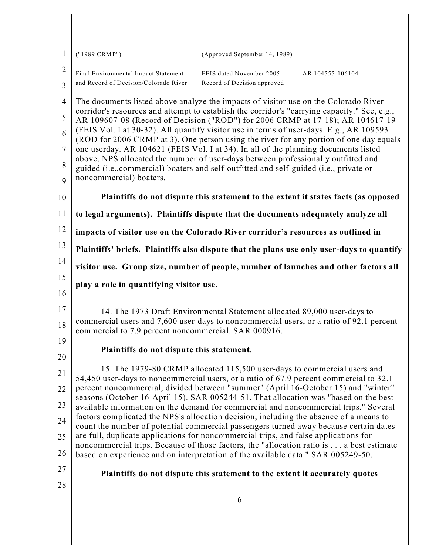| 1              | ("1989 CRMP")                                                                                                                                                                                          | (Approved September 14, 1989)                                                             |  |  |
|----------------|--------------------------------------------------------------------------------------------------------------------------------------------------------------------------------------------------------|-------------------------------------------------------------------------------------------|--|--|
| $\overline{2}$ | Final Environmental Impact Statement                                                                                                                                                                   | FEIS dated November 2005<br>AR 104555-106104                                              |  |  |
| 3              | and Record of Decision/Colorado River                                                                                                                                                                  | Record of Decision approved                                                               |  |  |
| $\overline{4}$ | The documents listed above analyze the impacts of visitor use on the Colorado River                                                                                                                    |                                                                                           |  |  |
| 5              | corridor's resources and attempt to establish the corridor's "carrying capacity." See, e.g.,                                                                                                           | AR 109607-08 (Record of Decision ("ROD") for 2006 CRMP at 17-18); AR 104617-19            |  |  |
| 6              | (FEIS Vol. I at 30-32). All quantify visitor use in terms of user-days. E.g., AR 109593                                                                                                                | (ROD for 2006 CRMP at 3). One person using the river for any portion of one day equals    |  |  |
| $\overline{7}$ | one userday. AR 104621 (FEIS Vol. I at 34). In all of the planning documents listed                                                                                                                    |                                                                                           |  |  |
| 8              | above, NPS allocated the number of user-days between professionally outfitted and<br>guided (i.e., commercial) boaters and self-outfitted and self-guided (i.e., private or<br>noncommercial) boaters. |                                                                                           |  |  |
| 9              |                                                                                                                                                                                                        |                                                                                           |  |  |
| 10             |                                                                                                                                                                                                        | Plaintiffs do not dispute this statement to the extent it states facts (as opposed        |  |  |
| 11             | to legal arguments). Plaintiffs dispute that the documents adequately analyze all                                                                                                                      |                                                                                           |  |  |
| 12             | impacts of visitor use on the Colorado River corridor's resources as outlined in                                                                                                                       |                                                                                           |  |  |
| 13             |                                                                                                                                                                                                        | Plaintiffs' briefs. Plaintiffs also dispute that the plans use only user-days to quantify |  |  |
| 14             |                                                                                                                                                                                                        | visitor use. Group size, number of people, number of launches and other factors all       |  |  |
| 15             | play a role in quantifying visitor use.                                                                                                                                                                |                                                                                           |  |  |
| 16             |                                                                                                                                                                                                        |                                                                                           |  |  |
| 17             |                                                                                                                                                                                                        | 14. The 1973 Draft Environmental Statement allocated 89,000 user-days to                  |  |  |
| 18             | commercial to 7.9 percent noncommercial. SAR 000916.                                                                                                                                                   | commercial users and 7,600 user-days to noncommercial users, or a ratio of 92.1 percent   |  |  |
| 19             | Plaintiffs do not dispute this statement.                                                                                                                                                              |                                                                                           |  |  |
| $20\,$         |                                                                                                                                                                                                        |                                                                                           |  |  |
| 21             | 54,450 user-days to noncommercial users, or a ratio of 67.9 percent commercial to 32.1                                                                                                                 | 15. The 1979-80 CRMP allocated 115,500 user-days to commercial users and                  |  |  |
| 22             | percent noncommercial, divided between "summer" (April 16-October 15) and "winter"<br>seasons (October 16-April 15). SAR 005244-51. That allocation was "based on the best                             |                                                                                           |  |  |
| 23             | available information on the demand for commercial and noncommercial trips." Several                                                                                                                   |                                                                                           |  |  |
| $24\,$         | factors complicated the NPS's allocation decision, including the absence of a means to<br>count the number of potential commercial passengers turned away because certain dates                        |                                                                                           |  |  |
| 25             | are full, duplicate applications for noncommercial trips, and false applications for                                                                                                                   | noncommercial trips. Because of those factors, the "allocation ratio is a best estimate   |  |  |
| 26             | based on experience and on interpretation of the available data." SAR 005249-50.                                                                                                                       |                                                                                           |  |  |
| 27             |                                                                                                                                                                                                        | Plaintiffs do not dispute this statement to the extent it accurately quotes               |  |  |
| 28             |                                                                                                                                                                                                        |                                                                                           |  |  |
|                |                                                                                                                                                                                                        | 6                                                                                         |  |  |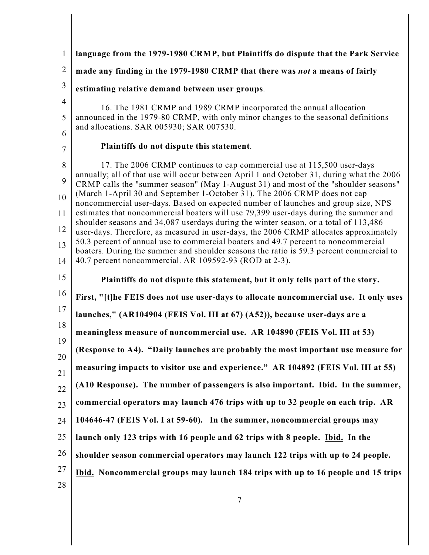| $\mathbf{1}$                         | language from the 1979-1980 CRMP, but Plaintiffs do dispute that the Park Service                                                                                                                                                                                                                                                                                                                                                                                                                                                                                                                                                                                                                                                                                                                                                                                                                                                                |
|--------------------------------------|--------------------------------------------------------------------------------------------------------------------------------------------------------------------------------------------------------------------------------------------------------------------------------------------------------------------------------------------------------------------------------------------------------------------------------------------------------------------------------------------------------------------------------------------------------------------------------------------------------------------------------------------------------------------------------------------------------------------------------------------------------------------------------------------------------------------------------------------------------------------------------------------------------------------------------------------------|
| $\overline{2}$                       | made any finding in the 1979-1980 CRMP that there was not a means of fairly                                                                                                                                                                                                                                                                                                                                                                                                                                                                                                                                                                                                                                                                                                                                                                                                                                                                      |
| $\mathfrak{Z}$                       | estimating relative demand between user groups.                                                                                                                                                                                                                                                                                                                                                                                                                                                                                                                                                                                                                                                                                                                                                                                                                                                                                                  |
| $\overline{4}$<br>5<br>6             | 16. The 1981 CRMP and 1989 CRMP incorporated the annual allocation<br>announced in the 1979-80 CRMP, with only minor changes to the seasonal definitions<br>and allocations. SAR 005930; SAR 007530.                                                                                                                                                                                                                                                                                                                                                                                                                                                                                                                                                                                                                                                                                                                                             |
| 7                                    | Plaintiffs do not dispute this statement.                                                                                                                                                                                                                                                                                                                                                                                                                                                                                                                                                                                                                                                                                                                                                                                                                                                                                                        |
| 8<br>9<br>10<br>11<br>12<br>13<br>14 | 17. The 2006 CRMP continues to cap commercial use at 115,500 user-days<br>annually; all of that use will occur between April 1 and October 31, during what the 2006<br>CRMP calls the "summer season" (May 1-August 31) and most of the "shoulder seasons"<br>(March 1-April 30 and September 1-October 31). The 2006 CRMP does not cap<br>noncommercial user-days. Based on expected number of launches and group size, NPS<br>estimates that noncommercial boaters will use 79,399 user-days during the summer and<br>shoulder seasons and 34,087 userdays during the winter season, or a total of 113,486<br>user-days. Therefore, as measured in user-days, the 2006 CRMP allocates approximately<br>50.3 percent of annual use to commercial boaters and 49.7 percent to noncommercial<br>boaters. During the summer and shoulder seasons the ratio is 59.3 percent commercial to<br>40.7 percent noncommercial. AR 109592-93 (ROD at 2-3). |
| 15                                   | Plaintiffs do not dispute this statement, but it only tells part of the story.                                                                                                                                                                                                                                                                                                                                                                                                                                                                                                                                                                                                                                                                                                                                                                                                                                                                   |
| 16                                   | First, "[t]he FEIS does not use user-days to allocate noncommercial use. It only uses                                                                                                                                                                                                                                                                                                                                                                                                                                                                                                                                                                                                                                                                                                                                                                                                                                                            |
| 17                                   |                                                                                                                                                                                                                                                                                                                                                                                                                                                                                                                                                                                                                                                                                                                                                                                                                                                                                                                                                  |
|                                      | launches," (AR104904 (FEIS Vol. III at 67) (A52)), because user-days are a                                                                                                                                                                                                                                                                                                                                                                                                                                                                                                                                                                                                                                                                                                                                                                                                                                                                       |
| 18                                   | meaningless measure of noncommercial use. AR 104890 (FEIS Vol. III at 53)                                                                                                                                                                                                                                                                                                                                                                                                                                                                                                                                                                                                                                                                                                                                                                                                                                                                        |
| 19                                   | (Response to A4). "Daily launches are probably the most important use measure for                                                                                                                                                                                                                                                                                                                                                                                                                                                                                                                                                                                                                                                                                                                                                                                                                                                                |
|                                      | measuring impacts to visitor use and experience." AR 104892 (FEIS Vol. III at 55)                                                                                                                                                                                                                                                                                                                                                                                                                                                                                                                                                                                                                                                                                                                                                                                                                                                                |
|                                      | (A10 Response). The number of passengers is also important. Ibid. In the summer,                                                                                                                                                                                                                                                                                                                                                                                                                                                                                                                                                                                                                                                                                                                                                                                                                                                                 |
|                                      | commercial operators may launch 476 trips with up to 32 people on each trip. AR                                                                                                                                                                                                                                                                                                                                                                                                                                                                                                                                                                                                                                                                                                                                                                                                                                                                  |
| 20<br>21<br>22<br>23<br>24           | 104646-47 (FEIS Vol. I at 59-60). In the summer, noncommercial groups may                                                                                                                                                                                                                                                                                                                                                                                                                                                                                                                                                                                                                                                                                                                                                                                                                                                                        |
| 25                                   | launch only 123 trips with 16 people and 62 trips with 8 people. Ibid. In the                                                                                                                                                                                                                                                                                                                                                                                                                                                                                                                                                                                                                                                                                                                                                                                                                                                                    |
| 26                                   | shoulder season commercial operators may launch 122 trips with up to 24 people.                                                                                                                                                                                                                                                                                                                                                                                                                                                                                                                                                                                                                                                                                                                                                                                                                                                                  |
| 27<br>28                             | Ibid. Noncommercial groups may launch 184 trips with up to 16 people and 15 trips                                                                                                                                                                                                                                                                                                                                                                                                                                                                                                                                                                                                                                                                                                                                                                                                                                                                |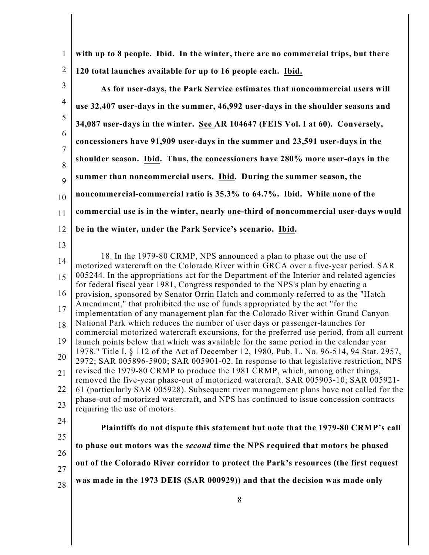1 2 **with up to 8 people. Ibid. In the winter, there are no commercial trips, but there 120 total launches available for up to 16 people each. Ibid.** 

3 4 5 6 7 8 9 10 11 12 13 14 15 16 17 18 19 20 21 22 23 24 25 26 27 28 **As for user-days, the Park Service estimates that noncommercial users will use 32,407 user-days in the summer, 46,992 user-days in the shoulder seasons and 34,087 user-days in the winter. See AR 104647 (FEIS Vol. I at 60). Conversely, concessioners have 91,909 user-days in the summer and 23,591 user-days in the shoulder season. Ibid. Thus, the concessioners have 280% more user-days in the summer than noncommercial users. Ibid. During the summer season, the noncommercial-commercial ratio is 35.3% to 64.7%. Ibid. While none of the commercial use is in the winter, nearly one-third of noncommercial user-days would be in the winter, under the Park Service's scenario. Ibid.**  18. In the 1979-80 CRMP, NPS announced a plan to phase out the use of motorized watercraft on the Colorado River within GRCA over a five-year period. SAR 005244. In the appropriations act for the Department of the Interior and related agencies for federal fiscal year 1981, Congress responded to the NPS's plan by enacting a provision, sponsored by Senator Orrin Hatch and commonly referred to as the "Hatch Amendment," that prohibited the use of funds appropriated by the act "for the implementation of any management plan for the Colorado River within Grand Canyon National Park which reduces the number of user days or passenger-launches for commercial motorized watercraft excursions, for the preferred use period, from all current launch points below that which was available for the same period in the calendar year 1978." Title I, § 112 of the Act of December 12, 1980, Pub. L. No. 96-514, 94 Stat. 2957, 2972; SAR 005896-5900; SAR 005901-02. In response to that legislative restriction, NPS revised the 1979-80 CRMP to produce the 1981 CRMP, which, among other things, removed the five-year phase-out of motorized watercraft. SAR 005903-10; SAR 005921- 61 (particularly SAR 005928). Subsequent river management plans have not called for the phase-out of motorized watercraft, and NPS has continued to issue concession contracts requiring the use of motors. **Plaintiffs do not dispute this statement but note that the 1979-80 CRMP's call to phase out motors was the** *second* **time the NPS required that motors be phased out of the Colorado River corridor to protect the Park's resources (the first request was made in the 1973 DEIS (SAR 000929)) and that the decision was made only**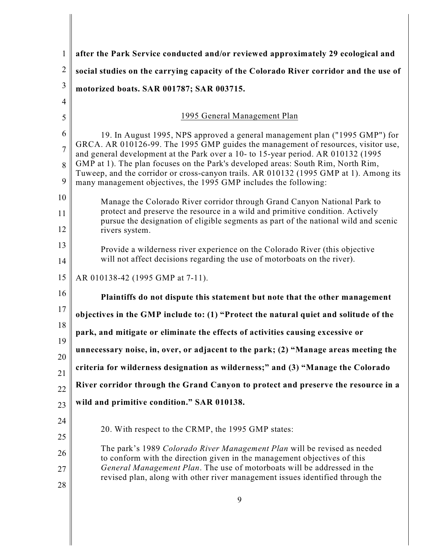| $\mathbf{1}$   | after the Park Service conducted and/or reviewed approximately 29 ecological and                                                                                                                                                              |
|----------------|-----------------------------------------------------------------------------------------------------------------------------------------------------------------------------------------------------------------------------------------------|
| $\overline{2}$ | social studies on the carrying capacity of the Colorado River corridor and the use of                                                                                                                                                         |
| 3              | motorized boats. SAR 001787; SAR 003715.                                                                                                                                                                                                      |
| $\overline{4}$ |                                                                                                                                                                                                                                               |
| 5              | 1995 General Management Plan                                                                                                                                                                                                                  |
| 6              | 19. In August 1995, NPS approved a general management plan ("1995 GMP") for                                                                                                                                                                   |
| $\overline{7}$ | GRCA. AR 010126-99. The 1995 GMP guides the management of resources, visitor use,<br>and general development at the Park over a 10- to 15-year period. AR 010132 (1995)                                                                       |
| 8<br>9         | GMP at 1). The plan focuses on the Park's developed areas: South Rim, North Rim,<br>Tuweep, and the corridor or cross-canyon trails. AR 010132 (1995 GMP at 1). Among its<br>many management objectives, the 1995 GMP includes the following: |
| 10             | Manage the Colorado River corridor through Grand Canyon National Park to                                                                                                                                                                      |
| 11             | protect and preserve the resource in a wild and primitive condition. Actively                                                                                                                                                                 |
| 12             | pursue the designation of eligible segments as part of the national wild and scenic<br>rivers system.                                                                                                                                         |
| 13             | Provide a wilderness river experience on the Colorado River (this objective                                                                                                                                                                   |
| 14             | will not affect decisions regarding the use of motorboats on the river).                                                                                                                                                                      |
| 15             | AR 010138-42 (1995 GMP at 7-11).                                                                                                                                                                                                              |
| 16             | Plaintiffs do not dispute this statement but note that the other management                                                                                                                                                                   |
| 17             | objectives in the GMP include to: (1) "Protect the natural quiet and solitude of the                                                                                                                                                          |
| 18<br>19       | park, and mitigate or eliminate the effects of activities causing excessive or                                                                                                                                                                |
| 20             | unnecessary noise, in, over, or adjacent to the park; (2) "Manage areas meeting the                                                                                                                                                           |
| 21             | criteria for wilderness designation as wilderness;" and (3) "Manage the Colorado                                                                                                                                                              |
| 22             | River corridor through the Grand Canyon to protect and preserve the resource in a                                                                                                                                                             |
| 23             | wild and primitive condition." SAR 010138.                                                                                                                                                                                                    |
| 24             |                                                                                                                                                                                                                                               |
| 25             | 20. With respect to the CRMP, the 1995 GMP states:                                                                                                                                                                                            |
| 26             | The park's 1989 Colorado River Management Plan will be revised as needed<br>to conform with the direction given in the management objectives of this                                                                                          |
| 27             | General Management Plan. The use of motorboats will be addressed in the                                                                                                                                                                       |
| 28             | revised plan, along with other river management issues identified through the                                                                                                                                                                 |
|                |                                                                                                                                                                                                                                               |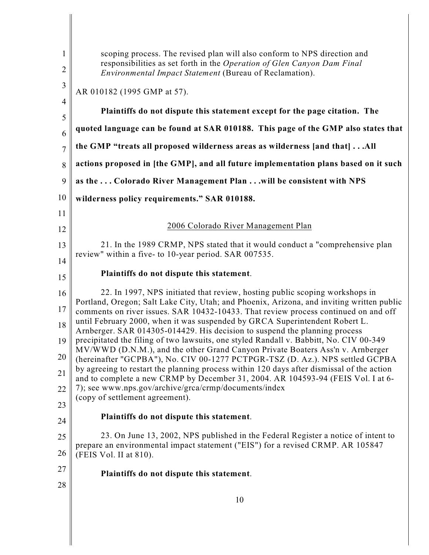| 1<br>$\overline{2}$ | scoping process. The revised plan will also conform to NPS direction and<br>responsibilities as set forth in the Operation of Glen Canyon Dam Final<br>Environmental Impact Statement (Bureau of Reclamation).                                                  |
|---------------------|-----------------------------------------------------------------------------------------------------------------------------------------------------------------------------------------------------------------------------------------------------------------|
| $\mathfrak{Z}$      | AR 010182 (1995 GMP at 57).                                                                                                                                                                                                                                     |
| $\overline{4}$<br>5 | Plaintiffs do not dispute this statement except for the page citation. The                                                                                                                                                                                      |
| 6                   | quoted language can be found at SAR 010188. This page of the GMP also states that                                                                                                                                                                               |
| $\overline{7}$      | the GMP "treats all proposed wilderness areas as wilderness [and that] All                                                                                                                                                                                      |
| 8                   | actions proposed in [the GMP], and all future implementation plans based on it such                                                                                                                                                                             |
| 9                   | as the  Colorado River Management Plan  will be consistent with NPS                                                                                                                                                                                             |
| 10                  | wilderness policy requirements." SAR 010188.                                                                                                                                                                                                                    |
| 11                  |                                                                                                                                                                                                                                                                 |
| 12                  | 2006 Colorado River Management Plan                                                                                                                                                                                                                             |
| 13                  | 21. In the 1989 CRMP, NPS stated that it would conduct a "comprehensive plan<br>review" within a five- to 10-year period. SAR 007535.                                                                                                                           |
| 14                  | Plaintiffs do not dispute this statement.                                                                                                                                                                                                                       |
| 15                  |                                                                                                                                                                                                                                                                 |
| 16<br>17            | 22. In 1997, NPS initiated that review, hosting public scoping workshops in<br>Portland, Oregon; Salt Lake City, Utah; and Phoenix, Arizona, and inviting written public<br>comments on river issues. SAR 10432-10433. That review process continued on and off |
| 18                  | until February 2000, when it was suspended by GRCA Superintendent Robert L.<br>Arnberger. SAR 014305-014429. His decision to suspend the planning process                                                                                                       |
| 19                  | precipitated the filing of two lawsuits, one styled Randall v. Babbitt, No. CIV 00-349                                                                                                                                                                          |
| 20                  | MV/WWD (D.N.M.), and the other Grand Canyon Private Boaters Ass'n v. Arnberger<br>(hereinafter "GCPBA"), No. CIV 00-1277 PCTPGR-TSZ (D. Az.). NPS settled GCPBA                                                                                                 |
| 21                  | by agreeing to restart the planning process within 120 days after dismissal of the action<br>and to complete a new CRMP by December 31, 2004. AR 104593-94 (FEIS Vol. I at 6-                                                                                   |
| 22                  | 7); see www.nps.gov/archive/grca/crmp/documents/index<br>(copy of settlement agreement).                                                                                                                                                                        |
| 23                  |                                                                                                                                                                                                                                                                 |
| 24                  | Plaintiffs do not dispute this statement.                                                                                                                                                                                                                       |
| 25<br>26            | 23. On June 13, 2002, NPS published in the Federal Register a notice of intent to<br>prepare an environmental impact statement ("EIS") for a revised CRMP. AR 105847                                                                                            |
|                     | (FEIS Vol. II at 810).                                                                                                                                                                                                                                          |
| 27<br>28            | Plaintiffs do not dispute this statement.                                                                                                                                                                                                                       |
|                     | 10                                                                                                                                                                                                                                                              |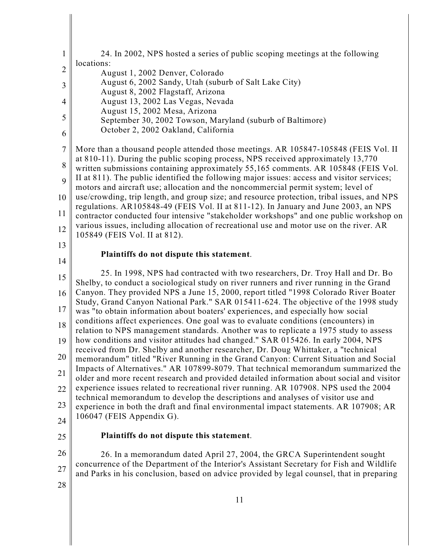| $\mathbf{1}$   | 24. In 2002, NPS hosted a series of public scoping meetings at the following                                                                                                           |
|----------------|----------------------------------------------------------------------------------------------------------------------------------------------------------------------------------------|
| $\overline{c}$ | locations:<br>August 1, 2002 Denver, Colorado                                                                                                                                          |
| 3              | August 6, 2002 Sandy, Utah (suburb of Salt Lake City)                                                                                                                                  |
| $\overline{4}$ | August 8, 2002 Flagstaff, Arizona<br>August 13, 2002 Las Vegas, Nevada                                                                                                                 |
| 5              | August 15, 2002 Mesa, Arizona<br>September 30, 2002 Towson, Maryland (suburb of Baltimore)                                                                                             |
| 6              | October 2, 2002 Oakland, California                                                                                                                                                    |
| $\tau$         | More than a thousand people attended those meetings. AR 105847-105848 (FEIS Vol. II                                                                                                    |
| 8              | at 810-11). During the public scoping process, NPS received approximately 13,770<br>written submissions containing approximately 55,165 comments. AR 105848 (FEIS Vol.                 |
| 9              | II at 811). The public identified the following major issues: access and visitor services;<br>motors and aircraft use; allocation and the noncommercial permit system; level of        |
| 10             | use/crowding, trip length, and group size; and resource protection, tribal issues, and NPS                                                                                             |
| 11             | regulations. AR105848-49 (FEIS Vol. II at 811-12). In January and June 2003, an NPS<br>contractor conducted four intensive "stakeholder workshops" and one public workshop on          |
| 12             | various issues, including allocation of recreational use and motor use on the river. AR<br>105849 (FEIS Vol. II at 812).                                                               |
| 13             |                                                                                                                                                                                        |
| 14             | Plaintiffs do not dispute this statement.                                                                                                                                              |
| 15             | 25. In 1998, NPS had contracted with two researchers, Dr. Troy Hall and Dr. Bo<br>Shelby, to conduct a sociological study on river runners and river running in the Grand              |
| 16             | Canyon. They provided NPS a June 15, 2000, report titled "1998 Colorado River Boater                                                                                                   |
| 17             | Study, Grand Canyon National Park." SAR 015411-624. The objective of the 1998 study<br>was "to obtain information about boaters' experiences, and especially how social                |
| 18             | conditions affect experiences. One goal was to evaluate conditions (encounters) in<br>relation to NPS management standards. Another was to replicate a 1975 study to assess            |
| 19             | how conditions and visitor attitudes had changed." SAR 015426. In early 2004, NPS                                                                                                      |
| 20             | received from Dr. Shelby and another researcher, Dr. Doug Whittaker, a "technical<br>memorandum" titled "River Running in the Grand Canyon: Current Situation and Social               |
| 21             | Impacts of Alternatives." AR 107899-8079. That technical memorandum summarized the                                                                                                     |
| 22             | older and more recent research and provided detailed information about social and visitor<br>experience issues related to recreational river running. AR 107908. NPS used the 2004     |
| 23             | technical memorandum to develop the descriptions and analyses of visitor use and<br>experience in both the draft and final environmental impact statements. AR 107908; AR              |
| 24             | 106047 (FEIS Appendix G).                                                                                                                                                              |
| 25             | Plaintiffs do not dispute this statement.                                                                                                                                              |
| 26             | 26. In a memorandum dated April 27, 2004, the GRCA Superintendent sought                                                                                                               |
| 27             | concurrence of the Department of the Interior's Assistant Secretary for Fish and Wildlife<br>and Parks in his conclusion, based on advice provided by legal counsel, that in preparing |
| 28             |                                                                                                                                                                                        |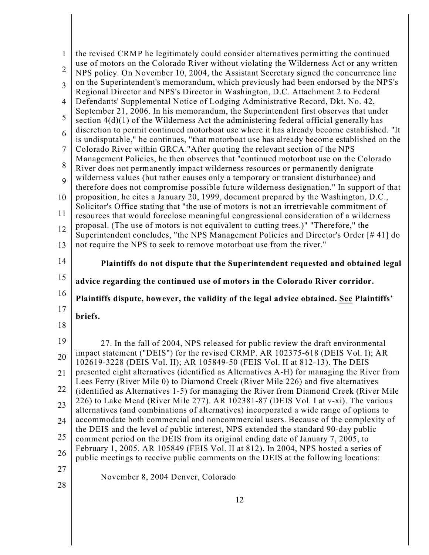| 1              | the revised CRMP he legitimately could consider alternatives permitting the continued                                                                                             |
|----------------|-----------------------------------------------------------------------------------------------------------------------------------------------------------------------------------|
| $\overline{2}$ | use of motors on the Colorado River without violating the Wilderness Act or any written<br>NPS policy. On November 10, 2004, the Assistant Secretary signed the concurrence line  |
| 3              | on the Superintendent's memorandum, which previously had been endorsed by the NPS's<br>Regional Director and NPS's Director in Washington, D.C. Attachment 2 to Federal           |
| 4              | Defendants' Supplemental Notice of Lodging Administrative Record, Dkt. No. 42,                                                                                                    |
| 5              | September 21, 2006. In his memorandum, the Superintendent first observes that under<br>section $4(d)(1)$ of the Wilderness Act the administering federal official generally has   |
| 6              | discretion to permit continued motorboat use where it has already become established. "It                                                                                         |
| $\overline{7}$ | is undisputable," he continues, "that motorboat use has already become established on the<br>Colorado River within GRCA." After quoting the relevant section of the NPS           |
| 8              | Management Policies, he then observes that "continued motorboat use on the Colorado<br>River does not permanently impact wilderness resources or permanently denigrate            |
| 9              | wilderness values (but rather causes only a temporary or transient disturbance) and                                                                                               |
| 10             | therefore does not compromise possible future wilderness designation." In support of that<br>proposition, he cites a January 20, 1999, document prepared by the Washington, D.C., |
| 11             | Solicitor's Office stating that "the use of motors is not an irretrievable commitment of<br>resources that would foreclose meaningful congressional consideration of a wilderness |
| 12             | proposal. (The use of motors is not equivalent to cutting trees.)" "Therefore," the                                                                                               |
| 13             | Superintendent concludes, "the NPS Management Policies and Director's Order [#41] do<br>not require the NPS to seek to remove motorboat use from the river."                      |
|                |                                                                                                                                                                                   |
|                |                                                                                                                                                                                   |
| 14             | Plaintiffs do not dispute that the Superintendent requested and obtained legal                                                                                                    |
| 15             | advice regarding the continued use of motors in the Colorado River corridor.                                                                                                      |
| 16             | Plaintiffs dispute, however, the validity of the legal advice obtained. See Plaintiffs'                                                                                           |
| 17             | briefs.                                                                                                                                                                           |
| 18             |                                                                                                                                                                                   |
| 19             | 27. In the fall of 2004, NPS released for public review the draft environmental                                                                                                   |
| $20\,$         | impact statement ("DEIS") for the revised CRMP. AR 102375-618 (DEIS Vol. I); AR<br>102619-3228 (DEIS Vol. II); AR 105849-50 (FEIS Vol. II at 812-13). The DEIS                    |
| 21             | presented eight alternatives (identified as Alternatives A-H) for managing the River from<br>Lees Ferry (River Mile 0) to Diamond Creek (River Mile 226) and five alternatives    |
| 22             | (identified as Alternatives 1-5) for managing the River from Diamond Creek (River Mile                                                                                            |
| 23             | 226) to Lake Mead (River Mile 277). AR 102381-87 (DEIS Vol. I at v-xi). The various<br>alternatives (and combinations of alternatives) incorporated a wide range of options to    |
| 24             | accommodate both commercial and noncommercial users. Because of the complexity of<br>the DEIS and the level of public interest, NPS extended the standard 90-day public           |
| 25             | comment period on the DEIS from its original ending date of January 7, 2005, to                                                                                                   |
| 26             | February 1, 2005. AR 105849 (FEIS Vol. II at 812). In 2004, NPS hosted a series of<br>public meetings to receive public comments on the DEIS at the following locations:          |
| 27             | November 8, 2004 Denver, Colorado                                                                                                                                                 |

 $\begin{array}{c} \hline \end{array}$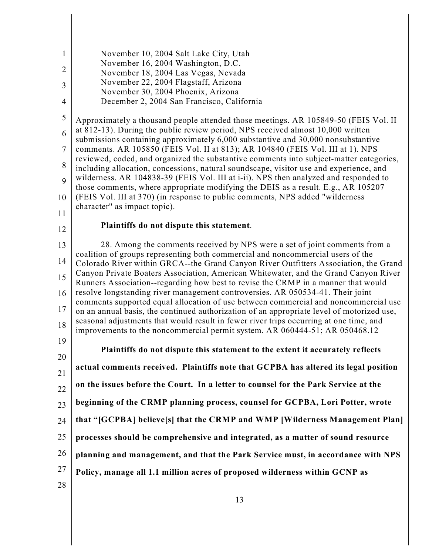| $\mathbf{1}$   | November 10, 2004 Salt Lake City, Utah                                                                                                                                              |
|----------------|-------------------------------------------------------------------------------------------------------------------------------------------------------------------------------------|
| $\overline{2}$ | November 16, 2004 Washington, D.C.                                                                                                                                                  |
| 3              | November 18, 2004 Las Vegas, Nevada<br>November 22, 2004 Flagstaff, Arizona                                                                                                         |
|                | November 30, 2004 Phoenix, Arizona                                                                                                                                                  |
| $\overline{4}$ | December 2, 2004 San Francisco, California                                                                                                                                          |
| 5              | Approximately a thousand people attended those meetings. AR 105849-50 (FEIS Vol. II                                                                                                 |
| 6              | at 812-13). During the public review period, NPS received almost 10,000 written<br>submissions containing approximately 6,000 substantive and 30,000 nonsubstantive                 |
| $\overline{7}$ | comments. AR 105850 (FEIS Vol. II at 813); AR 104840 (FEIS Vol. III at 1). NPS                                                                                                      |
| 8              | reviewed, coded, and organized the substantive comments into subject-matter categories,                                                                                             |
|                | including allocation, concessions, natural soundscape, visitor use and experience, and<br>wilderness. AR 104838-39 (FEIS Vol. III at i-ii). NPS then analyzed and responded to      |
| 9              | those comments, where appropriate modifying the DEIS as a result. E.g., AR 105207                                                                                                   |
| 10             | (FEIS Vol. III at 370) (in response to public comments, NPS added "wilderness")<br>character" as impact topic).                                                                     |
| 11             |                                                                                                                                                                                     |
| 12             | Plaintiffs do not dispute this statement.                                                                                                                                           |
| 13             | 28. Among the comments received by NPS were a set of joint comments from a                                                                                                          |
| 14             | coalition of groups representing both commercial and noncommercial users of the<br>Colorado River within GRCA--the Grand Canyon River Outfitters Association, the Grand             |
| 15             | Canyon Private Boaters Association, American Whitewater, and the Grand Canyon River                                                                                                 |
|                | Runners Association--regarding how best to revise the CRMP in a manner that would                                                                                                   |
| 16<br>17       | resolve longstanding river management controversies. AR 050534-41. Their joint<br>comments supported equal allocation of use between commercial and noncommercial use               |
|                | on an annual basis, the continued authorization of an appropriate level of motorized use,<br>seasonal adjustments that would result in fewer river trips occurring at one time, and |
| 18             | improvements to the noncommercial permit system. AR 060444-51; AR 050468.12                                                                                                         |
| 19             | Plaintiffs do not dispute this statement to the extent it accurately reflects                                                                                                       |
| 20             |                                                                                                                                                                                     |
| 21             | actual comments received. Plaintiffs note that GCPBA has altered its legal position                                                                                                 |
| 22             | on the issues before the Court. In a letter to counsel for the Park Service at the                                                                                                  |
| 23             | beginning of the CRMP planning process, counsel for GCPBA, Lori Potter, wrote                                                                                                       |
| 24             | that "[GCPBA] believe[s] that the CRMP and WMP [Wilderness Management Plan]                                                                                                         |
| 25             | processes should be comprehensive and integrated, as a matter of sound resource                                                                                                     |
| 26             | planning and management, and that the Park Service must, in accordance with NPS                                                                                                     |
| 27             | Policy, manage all 1.1 million acres of proposed wilderness within GCNP as                                                                                                          |
| 28             |                                                                                                                                                                                     |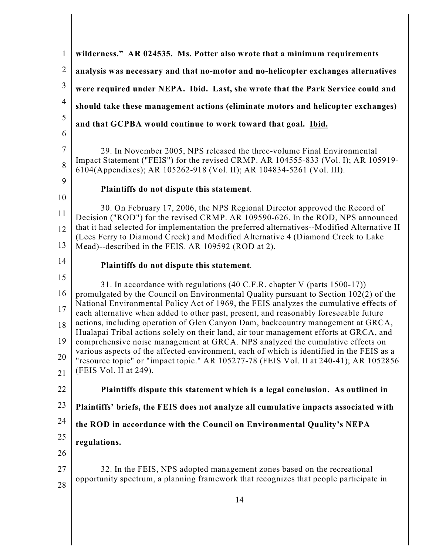| $\mathbf{1}$          | wilderness." AR 024535. Ms. Potter also wrote that a minimum requirements                                                                                                                                                                                                |
|-----------------------|--------------------------------------------------------------------------------------------------------------------------------------------------------------------------------------------------------------------------------------------------------------------------|
| $\mathbf{2}$          | analysis was necessary and that no-motor and no-helicopter exchanges alternatives                                                                                                                                                                                        |
| 3                     | were required under NEPA. Ibid. Last, she wrote that the Park Service could and                                                                                                                                                                                          |
| $\overline{4}$        | should take these management actions (eliminate motors and helicopter exchanges)                                                                                                                                                                                         |
| 5                     | and that GCPBA would continue to work toward that goal. Ibid.                                                                                                                                                                                                            |
| 6                     |                                                                                                                                                                                                                                                                          |
| $\boldsymbol{7}$<br>8 | 29. In November 2005, NPS released the three-volume Final Environmental<br>Impact Statement ("FEIS") for the revised CRMP. AR 104555-833 (Vol. I); AR 105919-<br>6104(Appendixes); AR 105262-918 (Vol. II); AR 104834-5261 (Vol. III).                                   |
| 9                     | Plaintiffs do not dispute this statement.                                                                                                                                                                                                                                |
| 10<br>11              | 30. On February 17, 2006, the NPS Regional Director approved the Record of<br>Decision ("ROD") for the revised CRMP. AR 109590-626. In the ROD, NPS announced                                                                                                            |
| 12<br>13              | that it had selected for implementation the preferred alternatives--Modified Alternative H<br>(Lees Ferry to Diamond Creek) and Modified Alternative 4 (Diamond Creek to Lake<br>Mead)--described in the FEIS. AR 109592 (ROD at 2).                                     |
| 14                    | Plaintiffs do not dispute this statement.                                                                                                                                                                                                                                |
| 15                    | 31. In accordance with regulations (40 C.F.R. chapter V (parts 1500-17))                                                                                                                                                                                                 |
| 16<br>17              | promulgated by the Council on Environmental Quality pursuant to Section 102(2) of the<br>National Environmental Policy Act of 1969, the FEIS analyzes the cumulative effects of<br>each alternative when added to other past, present, and reasonably foreseeable future |
| 18<br>19              | actions, including operation of Glen Canyon Dam, backcountry management at GRCA,<br>Hualapai Tribal actions solely on their land, air tour management efforts at GRCA, and                                                                                               |
| 20                    | comprehensive noise management at GRCA. NPS analyzed the cumulative effects on<br>various aspects of the affected environment, each of which is identified in the FEIS as a<br>"resource topic" or "impact topic." AR 105277-78 (FEIS Vol. II at 240-41); AR 1052856     |
| 21                    | (FEIS Vol. II at 249).                                                                                                                                                                                                                                                   |
| 22                    | Plaintiffs dispute this statement which is a legal conclusion. As outlined in                                                                                                                                                                                            |
| 23                    | Plaintiffs' briefs, the FEIS does not analyze all cumulative impacts associated with                                                                                                                                                                                     |
| 24                    | the ROD in accordance with the Council on Environmental Quality's NEPA                                                                                                                                                                                                   |
| 25<br>26              | regulations.                                                                                                                                                                                                                                                             |
| 27<br>28              | 32. In the FEIS, NPS adopted management zones based on the recreational<br>opportunity spectrum, a planning framework that recognizes that people participate in                                                                                                         |
|                       | 14                                                                                                                                                                                                                                                                       |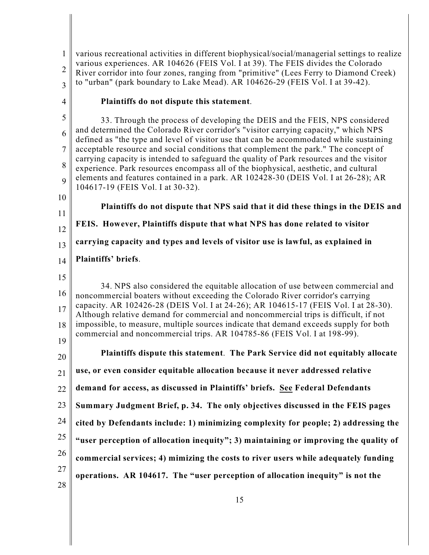1 2 3 various recreational activities in different biophysical/social/managerial settings to realize various experiences. AR 104626 (FEIS Vol. I at 39). The FEIS divides the Colorado River corridor into four zones, ranging from "primitive" (Lees Ferry to Diamond Creek) to "urban" (park boundary to Lake Mead). AR 104626-29 (FEIS Vol. I at 39-42).

4

## **Plaintiffs do not dispute this statement**.

5 6 7 8 9 33. Through the process of developing the DEIS and the FEIS, NPS considered and determined the Colorado River corridor's "visitor carrying capacity," which NPS defined as "the type and level of visitor use that can be accommodated while sustaining acceptable resource and social conditions that complement the park." The concept of carrying capacity is intended to safeguard the quality of Park resources and the visitor experience. Park resources encompass all of the biophysical, aesthetic, and cultural elements and features contained in a park. AR 102428-30 (DEIS Vol. I at 26-28); AR 104617-19 (FEIS Vol. I at 30-32).

- 10
- 11

12 13 14 **FEIS. However, Plaintiffs dispute that what NPS has done related to visitor carrying capacity and types and levels of visitor use is lawful, as explained in Plaintiffs' briefs**.

**Plaintiffs do not dispute that NPS said that it did these things in the DEIS and**

15

20

21

16 17 18 19 34. NPS also considered the equitable allocation of use between commercial and noncommercial boaters without exceeding the Colorado River corridor's carrying capacity. AR 102426-28 (DEIS Vol. I at 24-26); AR 104615-17 (FEIS Vol. I at 28-30). Although relative demand for commercial and noncommercial trips is difficult, if not impossible, to measure, multiple sources indicate that demand exceeds supply for both commercial and noncommercial trips. AR 104785-86 (FEIS Vol. I at 198-99).

**Plaintiffs dispute this statement**. **The Park Service did not equitably allocate**

**use, or even consider equitable allocation because it never addressed relative**

22 **demand for access, as discussed in Plaintiffs' briefs. See Federal Defendants**

23 **Summary Judgment Brief, p. 34. The only objectives discussed in the FEIS pages**

24 **cited by Defendants include: 1) minimizing complexity for people; 2) addressing the**

25 **"user perception of allocation inequity"; 3) maintaining or improving the quality of**

26 **commercial services; 4) mimizing the costs to river users while adequately funding**

27 **operations. AR 104617. The "user perception of allocation inequity" is not the**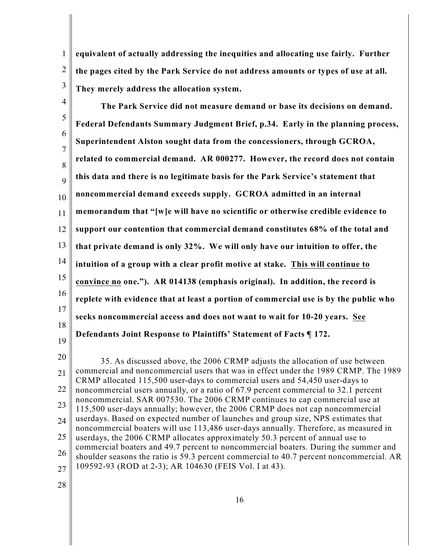1 2 3 **equivalent of actually addressing the inequities and allocating use fairly. Further the pages cited by the Park Service do not address amounts or types of use at all. They merely address the allocation system.** 

4 5 6 7 8 9 10 11 12 13 14 15 16 17 18 19 **The Park Service did not measure demand or base its decisions on demand. Federal Defendants Summary Judgment Brief, p.34. Early in the planning process, Superintendent Alston sought data from the concessioners, through GCROA, related to commercial demand. AR 000277. However, the record does not contain this data and there is no legitimate basis for the Park Service's statement that noncommercial demand exceeds supply. GCROA admitted in an internal memorandum that "[w]e will have no scientific or otherwise credible evidence to support our contention that commercial demand constitutes 68% of the total and that private demand is only 32%. We will only have our intuition to offer, the intuition of a group with a clear profit motive at stake. This will continue to convince no one."). AR 014138 (emphasis original). In addition, the record is replete with evidence that at least a portion of commercial use is by the public who seeks noncommercial access and does not want to wait for 10-20 years. See Defendants Joint Response to Plaintiffs' Statement of Facts ¶ 172.**

20 21 22 23 24 25 26 27 35. As discussed above, the 2006 CRMP adjusts the allocation of use between commercial and noncommercial users that was in effect under the 1989 CRMP. The 1989 CRMP allocated 115,500 user-days to commercial users and 54,450 user-days to noncommercial users annually, or a ratio of 67.9 percent commercial to 32.1 percent noncommercial. SAR 007530. The 2006 CRMP continues to cap commercial use at 115,500 user-days annually; however, the 2006 CRMP does not cap noncommercial userdays. Based on expected number of launches and group size, NPS estimates that noncommercial boaters will use 113,486 user-days annually. Therefore, as measured in userdays, the 2006 CRMP allocates approximately 50.3 percent of annual use to commercial boaters and 49.7 percent to noncommercial boaters. During the summer and shoulder seasons the ratio is 59.3 percent commercial to 40.7 percent noncommercial. AR 109592-93 (ROD at 2-3); AR 104630 (FEIS Vol. I at 43).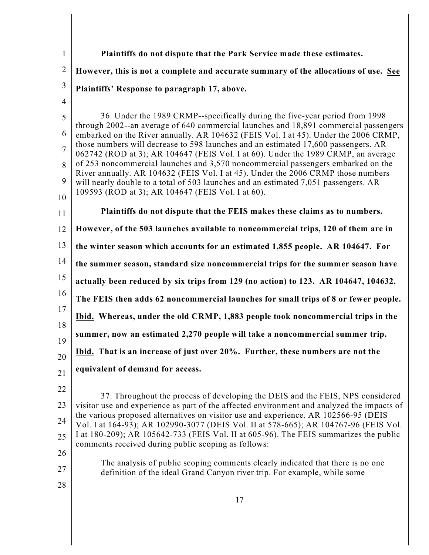| $\mathbf{1}$   | Plaintiffs do not dispute that the Park Service made these estimates.                                                                                                         |
|----------------|-------------------------------------------------------------------------------------------------------------------------------------------------------------------------------|
| $\overline{2}$ | However, this is not a complete and accurate summary of the allocations of use. See                                                                                           |
| 3              | Plaintiffs' Response to paragraph 17, above.                                                                                                                                  |
| $\overline{4}$ |                                                                                                                                                                               |
| 5              | 36. Under the 1989 CRMP--specifically during the five-year period from 1998<br>through 2002--an average of 640 commercial launches and 18,891 commercial passengers           |
| 6              | embarked on the River annually. AR 104632 (FEIS Vol. I at 45). Under the 2006 CRMP,                                                                                           |
| $\overline{7}$ | those numbers will decrease to 598 launches and an estimated 17,600 passengers. AR<br>062742 (ROD at 3); AR 104647 (FEIS Vol. I at 60). Under the 1989 CRMP, an average       |
| 8              | of 253 noncommercial launches and 3,570 noncommercial passengers embarked on the<br>River annually. AR 104632 (FEIS Vol. I at 45). Under the 2006 CRMP those numbers          |
| 9              | will nearly double to a total of 503 launches and an estimated 7,051 passengers. AR<br>109593 (ROD at 3); AR 104647 (FEIS Vol. I at 60).                                      |
| 10             |                                                                                                                                                                               |
| 11             | Plaintiffs do not dispute that the FEIS makes these claims as to numbers.                                                                                                     |
| 12             | However, of the 503 launches available to noncommercial trips, 120 of them are in                                                                                             |
| 13             | the winter season which accounts for an estimated 1,855 people. AR 104647. For                                                                                                |
| 14             | the summer season, standard size noncommercial trips for the summer season have                                                                                               |
| 15             | actually been reduced by six trips from 129 (no action) to 123. AR 104647, 104632.                                                                                            |
| 16             | The FEIS then adds 62 noncommercial launches for small trips of 8 or fewer people.                                                                                            |
| 17<br>18       | Ibid. Whereas, under the old CRMP, 1,883 people took noncommercial trips in the                                                                                               |
| 19             | summer, now an estimated 2,270 people will take a noncommercial summer trip.                                                                                                  |
| 20             | Ibid. That is an increase of just over 20%. Further, these numbers are not the                                                                                                |
| 21             | equivalent of demand for access.                                                                                                                                              |
| 22             |                                                                                                                                                                               |
| 23             | 37. Throughout the process of developing the DEIS and the FEIS, NPS considered<br>visitor use and experience as part of the affected environment and analyzed the impacts of  |
| 24             | the various proposed alternatives on visitor use and experience. AR 102566-95 (DEIS                                                                                           |
| 25             | Vol. I at 164-93); AR 102990-3077 (DEIS Vol. II at 578-665); AR 104767-96 (FEIS Vol.<br>I at 180-209); AR 105642-733 (FEIS Vol. II at 605-96). The FEIS summarizes the public |
|                | comments received during public scoping as follows:                                                                                                                           |
| 26<br>27       | The analysis of public scoping comments clearly indicated that there is no one<br>definition of the ideal Grand Canyon river trip. For example, while some                    |
| 28             |                                                                                                                                                                               |
|                | 17                                                                                                                                                                            |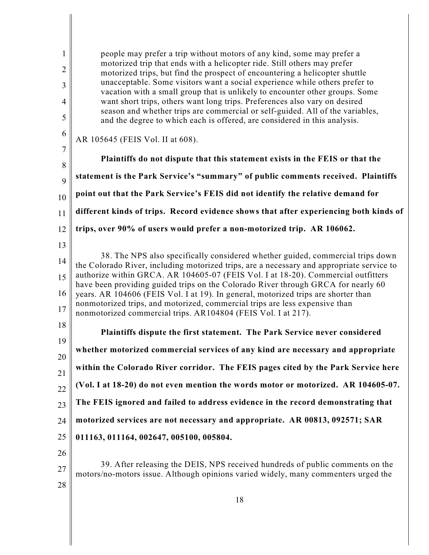1 2 3 4 5 6 7 8 9 10 11 12 13 14 15 16 17 18 19 20 21 22 23 24 25 26 27 28 people may prefer a trip without motors of any kind, some may prefer a motorized trip that ends with a helicopter ride. Still others may prefer motorized trips, but find the prospect of encountering a helicopter shuttle unacceptable. Some visitors want a social experience while others prefer to vacation with a small group that is unlikely to encounter other groups. Some want short trips, others want long trips. Preferences also vary on desired season and whether trips are commercial or self-guided. All of the variables, and the degree to which each is offered, are considered in this analysis. AR 105645 (FEIS Vol. II at 608). **Plaintiffs do not dispute that this statement exists in the FEIS or that the statement is the Park Service's "summary" of public comments received. Plaintiffs point out that the Park Service's FEIS did not identify the relative demand for different kinds of trips. Record evidence shows that after experiencing both kinds of trips, over 90% of users would prefer a non-motorized trip. AR 106062.**  38. The NPS also specifically considered whether guided, commercial trips down the Colorado River, including motorized trips, are a necessary and appropriate service to authorize within GRCA. AR 104605-07 (FEIS Vol. I at 18-20). Commercial outfitters have been providing guided trips on the Colorado River through GRCA for nearly 60 years. AR 104606 (FEIS Vol. I at 19). In general, motorized trips are shorter than nonmotorized trips, and motorized, commercial trips are less expensive than nonmotorized commercial trips. AR104804 (FEIS Vol. I at 217). **Plaintiffs dispute the first statement. The Park Service never considered whether motorized commercial services of any kind are necessary and appropriate within the Colorado River corridor. The FEIS pages cited by the Park Service here (Vol. I at 18-20) do not even mention the words motor or motorized. AR 104605-07. The FEIS ignored and failed to address evidence in the record demonstrating that motorized services are not necessary and appropriate. AR 00813, 092571; SAR 011163, 011164, 002647, 005100, 005804.**  39. After releasing the DEIS, NPS received hundreds of public comments on the motors/no-motors issue. Although opinions varied widely, many commenters urged the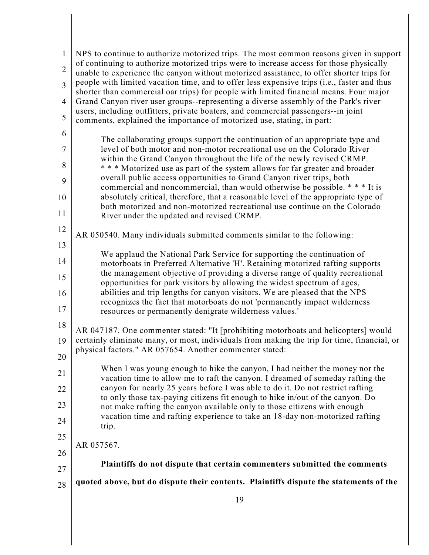| 1              | NPS to continue to authorize motorized trips. The most common reasons given in support                                                                                                |
|----------------|---------------------------------------------------------------------------------------------------------------------------------------------------------------------------------------|
| $\overline{2}$ | of continuing to authorize motorized trips were to increase access for those physically<br>unable to experience the canyon without motorized assistance, to offer shorter trips for   |
| $\overline{3}$ | people with limited vacation time, and to offer less expensive trips (i.e., faster and thus<br>shorter than commercial oar trips) for people with limited financial means. Four major |
| 4              | Grand Canyon river user groups--representing a diverse assembly of the Park's river                                                                                                   |
| 5              | users, including outfitters, private boaters, and commercial passengers--in joint<br>comments, explained the importance of motorized use, stating, in part:                           |
| 6              | The collaborating groups support the continuation of an appropriate type and                                                                                                          |
| $\overline{7}$ | level of both motor and non-motor recreational use on the Colorado River<br>within the Grand Canyon throughout the life of the newly revised CRMP.                                    |
| 8              | *** Motorized use as part of the system allows for far greater and broader                                                                                                            |
| 9              | overall public access opportunities to Grand Canyon river trips, both<br>commercial and noncommercial, than would otherwise be possible. * * * It is                                  |
| 10             | absolutely critical, therefore, that a reasonable level of the appropriate type of<br>both motorized and non-motorized recreational use continue on the Colorado                      |
| 11             | River under the updated and revised CRMP.                                                                                                                                             |
| 12             | AR 050540. Many individuals submitted comments similar to the following:                                                                                                              |
| 13             | We applaud the National Park Service for supporting the continuation of                                                                                                               |
| 14             | motorboats in Preferred Alternative 'H'. Retaining motorized rafting supports<br>the management objective of providing a diverse range of quality recreational                        |
| 15             | opportunities for park visitors by allowing the widest spectrum of ages,                                                                                                              |
| 16             | abilities and trip lengths for canyon visitors. We are pleased that the NPS<br>recognizes the fact that motorboats do not 'permanently impact wilderness                              |
| 17             | resources or permanently denigrate wilderness values.'                                                                                                                                |
| $18\,$         | AR 047187. One commenter stated: "It [prohibiting motorboats and helicopters] would                                                                                                   |
| 19             | certainly eliminate many, or most, individuals from making the trip for time, financial, or<br>physical factors." AR 057654. Another commenter stated:                                |
| 20             | When I was young enough to hike the canyon, I had neither the money nor the                                                                                                           |
| 21             | vacation time to allow me to raft the canyon. I dreamed of someday rafting the                                                                                                        |
| 22             | canyon for nearly 25 years before I was able to do it. Do not restrict rafting<br>to only those tax-paying citizens fit enough to hike in/out of the canyon. Do                       |
| 23             | not make rafting the canyon available only to those citizens with enough                                                                                                              |
| 24             | vacation time and rafting experience to take an 18-day non-motorized rafting<br>trip.                                                                                                 |
| 25             | AR 057567.                                                                                                                                                                            |
| 26             |                                                                                                                                                                                       |
| 27             | Plaintiffs do not dispute that certain commenters submitted the comments                                                                                                              |
| 28             | quoted above, but do dispute their contents. Plaintiffs dispute the statements of the                                                                                                 |
|                | 19                                                                                                                                                                                    |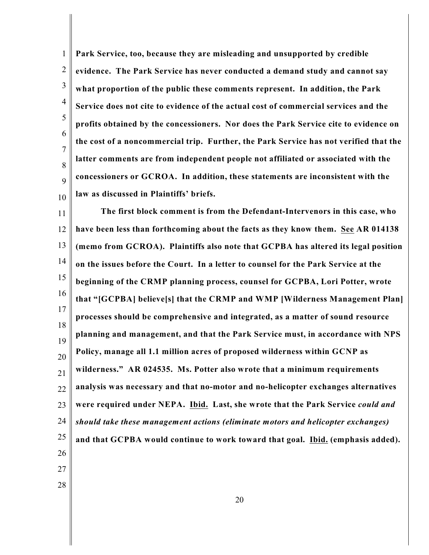1 2 3 4 5 6 7 8 9 10 **Park Service, too, because they are misleading and unsupported by credible evidence. The Park Service has never conducted a demand study and cannot say what proportion of the public these comments represent. In addition, the Park Service does not cite to evidence of the actual cost of commercial services and the profits obtained by the concessioners. Nor does the Park Service cite to evidence on the cost of a noncommercial trip. Further, the Park Service has not verified that the latter comments are from independent people not affiliated or associated with the concessioners or GCROA. In addition, these statements are inconsistent with the law as discussed in Plaintiffs' briefs.** 

11 12 13 14 15 16 17 18 19 20 21 22 23 24 25 26 27 **The first block comment is from the Defendant-Intervenors in this case, who have been less than forthcoming about the facts as they know them. See AR 014138 (memo from GCROA). Plaintiffs also note that GCPBA has altered its legal position on the issues before the Court. In a letter to counsel for the Park Service at the beginning of the CRMP planning process, counsel for GCPBA, Lori Potter, wrote that "[GCPBA] believe[s] that the CRMP and WMP [Wilderness Management Plan] processes should be comprehensive and integrated, as a matter of sound resource planning and management, and that the Park Service must, in accordance with NPS Policy, manage all 1.1 million acres of proposed wilderness within GCNP as wilderness." AR 024535. Ms. Potter also wrote that a minimum requirements analysis was necessary and that no-motor and no-helicopter exchanges alternatives were required under NEPA. Ibid. Last, she wrote that the Park Service** *could and should take these management actions (eliminate motors and helicopter exchanges)* **and that GCPBA would continue to work toward that goal. Ibid. (emphasis added).**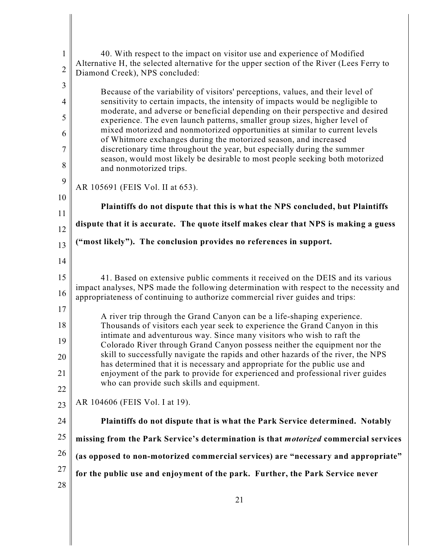| $\mathbf{1}$   | 40. With respect to the impact on visitor use and experience of Modified<br>Alternative H, the selected alternative for the upper section of the River (Lees Ferry to    |
|----------------|--------------------------------------------------------------------------------------------------------------------------------------------------------------------------|
| $\overline{2}$ | Diamond Creek), NPS concluded:                                                                                                                                           |
| 3<br>4         | Because of the variability of visitors' perceptions, values, and their level of<br>sensitivity to certain impacts, the intensity of impacts would be negligible to       |
| 5              | moderate, and adverse or beneficial depending on their perspective and desired<br>experience. The even launch patterns, smaller group sizes, higher level of             |
| 6              | mixed motorized and nonmotorized opportunities at similar to current levels<br>of Whitmore exchanges during the motorized season, and increased                          |
| 7              | discretionary time throughout the year, but especially during the summer                                                                                                 |
| 8              | season, would most likely be desirable to most people seeking both motorized<br>and nonmotorized trips.                                                                  |
| 9              | AR 105691 (FEIS Vol. II at 653).                                                                                                                                         |
| 10<br>11       | Plaintiffs do not dispute that this is what the NPS concluded, but Plaintiffs                                                                                            |
| 12             | dispute that it is accurate. The quote itself makes clear that NPS is making a guess                                                                                     |
| 13             | ("most likely"). The conclusion provides no references in support.                                                                                                       |
| 14             |                                                                                                                                                                          |
| 15             | 41. Based on extensive public comments it received on the DEIS and its various                                                                                           |
| 16             | impact analyses, NPS made the following determination with respect to the necessity and<br>appropriateness of continuing to authorize commercial river guides and trips: |
| 17             | A river trip through the Grand Canyon can be a life-shaping experience.                                                                                                  |
| 18             | Thousands of visitors each year seek to experience the Grand Canyon in this                                                                                              |
| 19             | intimate and adventurous way. Since many visitors who wish to raft the<br>Colorado River through Grand Canyon possess neither the equipment nor the                      |
| $20\,$         | skill to successfully navigate the rapids and other hazards of the river, the NPS<br>has determined that it is necessary and appropriate for the public use and          |
| 21             | enjoyment of the park to provide for experienced and professional river guides                                                                                           |
| 22             | who can provide such skills and equipment.                                                                                                                               |
| 23             | AR 104606 (FEIS Vol. I at 19).                                                                                                                                           |
| 24             | Plaintiffs do not dispute that is what the Park Service determined. Notably                                                                                              |
| 25             | missing from the Park Service's determination is that <i>motorized</i> commercial services                                                                               |
| 26             | (as opposed to non-motorized commercial services) are "necessary and appropriate"                                                                                        |
| 27             | for the public use and enjoyment of the park. Further, the Park Service never                                                                                            |
| 28             |                                                                                                                                                                          |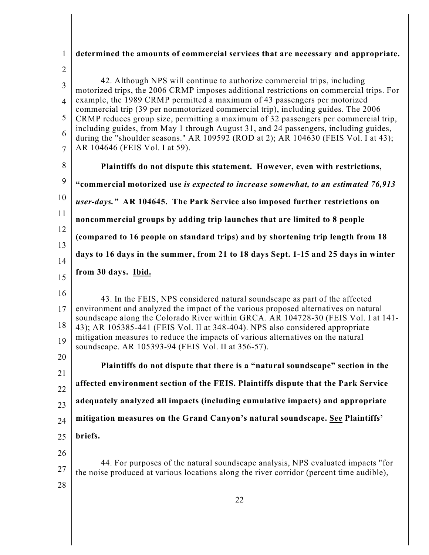| $\mathbf{1}$   | determined the amounts of commercial services that are necessary and appropriate.                                                                                           |
|----------------|-----------------------------------------------------------------------------------------------------------------------------------------------------------------------------|
| $\overline{2}$ |                                                                                                                                                                             |
| 3              | 42. Although NPS will continue to authorize commercial trips, including<br>motorized trips, the 2006 CRMP imposes additional restrictions on commercial trips. For          |
| $\overline{4}$ | example, the 1989 CRMP permitted a maximum of 43 passengers per motorized                                                                                                   |
| 5              | commercial trip (39 per nonmotorized commercial trip), including guides. The 2006<br>CRMP reduces group size, permitting a maximum of 32 passengers per commercial trip,    |
| 6              | including guides, from May 1 through August 31, and 24 passengers, including guides,<br>during the "shoulder seasons." AR 109592 (ROD at 2); AR 104630 (FEIS Vol. I at 43); |
| $\overline{7}$ | AR 104646 (FEIS Vol. I at 59).                                                                                                                                              |
| 8              | Plaintiffs do not dispute this statement. However, even with restrictions,                                                                                                  |
| 9              | "commercial motorized use is expected to increase somewhat, to an estimated 76,913                                                                                          |
| 10             | user-days." AR 104645. The Park Service also imposed further restrictions on                                                                                                |
| 11             | noncommercial groups by adding trip launches that are limited to 8 people                                                                                                   |
| 12             | (compared to 16 people on standard trips) and by shortening trip length from 18                                                                                             |
| 13             | days to 16 days in the summer, from 21 to 18 days Sept. 1-15 and 25 days in winter                                                                                          |
| 14             | from 30 days. Ibid.                                                                                                                                                         |
| 15             |                                                                                                                                                                             |
| 16             | 43. In the FEIS, NPS considered natural soundscape as part of the affected                                                                                                  |
| 17             | environment and analyzed the impact of the various proposed alternatives on natural<br>soundscape along the Colorado River within GRCA. AR 104728-30 (FEIS Vol. I at 141-   |
| 18             | 43); AR 105385-441 (FEIS Vol. II at 348-404). NPS also considered appropriate                                                                                               |
| 19             | mitigation measures to reduce the impacts of various alternatives on the natural<br>soundscape. AR 105393-94 (FEIS Vol. II at 356-57).                                      |
| 20             | Plaintiffs do not dispute that there is a "natural soundscape" section in the                                                                                               |
| 21             |                                                                                                                                                                             |
| 22             | affected environment section of the FEIS. Plaintiffs dispute that the Park Service                                                                                          |
| 23             | adequately analyzed all impacts (including cumulative impacts) and appropriate                                                                                              |
| 24             | mitigation measures on the Grand Canyon's natural soundscape. See Plaintiffs'                                                                                               |
| 25             | briefs.                                                                                                                                                                     |
| 26             |                                                                                                                                                                             |
| 27             | 44. For purposes of the natural soundscape analysis, NPS evaluated impacts "for<br>the noise produced at various locations along the river corridor (percent time audible), |
| 28             |                                                                                                                                                                             |
|                | 22                                                                                                                                                                          |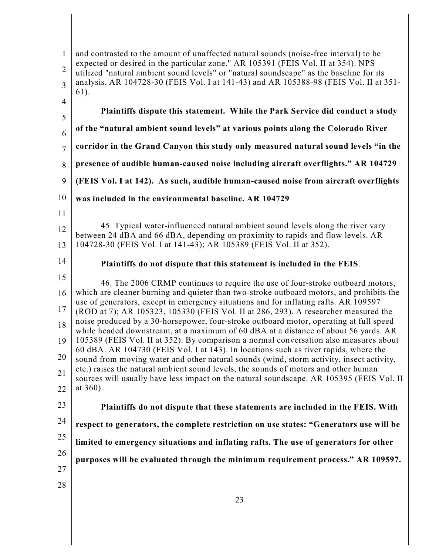| $\mathbf{1}$<br>$\overline{2}$<br>$\overline{3}$ | and contrasted to the amount of unaffected natural sounds (noise-free interval) to be<br>expected or desired in the particular zone." AR 105391 (FEIS Vol. II at 354). NPS<br>utilized "natural ambient sound levels" or "natural soundscape" as the baseline for its<br>analysis. AR 104728-30 (FEIS Vol. I at 141-43) and AR 105388-98 (FEIS Vol. II at 351-<br>61). |
|--------------------------------------------------|------------------------------------------------------------------------------------------------------------------------------------------------------------------------------------------------------------------------------------------------------------------------------------------------------------------------------------------------------------------------|
| $\overline{4}$                                   | Plaintiffs dispute this statement. While the Park Service did conduct a study                                                                                                                                                                                                                                                                                          |
| 5<br>6                                           | of the "natural ambient sound levels" at various points along the Colorado River                                                                                                                                                                                                                                                                                       |
| $\overline{7}$                                   | corridor in the Grand Canyon this study only measured natural sound levels "in the                                                                                                                                                                                                                                                                                     |
| 8                                                | presence of audible human-caused noise including aircraft overflights." AR 104729                                                                                                                                                                                                                                                                                      |
| 9                                                | (FEIS Vol. I at 142). As such, audible human-caused noise from aircraft overflights                                                                                                                                                                                                                                                                                    |
| 10                                               | was included in the environmental baseline. AR 104729                                                                                                                                                                                                                                                                                                                  |
| 11                                               |                                                                                                                                                                                                                                                                                                                                                                        |
| 12                                               | 45. Typical water-influenced natural ambient sound levels along the river vary<br>between 24 dBA and 66 dBA, depending on proximity to rapids and flow levels. AR                                                                                                                                                                                                      |
| 13                                               | 104728-30 (FEIS Vol. I at 141-43); AR 105389 (FEIS Vol. II at 352).                                                                                                                                                                                                                                                                                                    |
| 14                                               | Plaintiffs do not dispute that this statement is included in the FEIS.                                                                                                                                                                                                                                                                                                 |
| 15                                               | 46. The 2006 CRMP continues to require the use of four-stroke outboard motors,                                                                                                                                                                                                                                                                                         |
| 16                                               | which are cleaner burning and quieter than two-stroke outboard motors, and prohibits the                                                                                                                                                                                                                                                                               |
| 17                                               | use of generators, except in emergency situations and for inflating rafts. AR 109597<br>(ROD at 7); AR 105323, 105330 (FEIS Vol. II at 286, 293). A researcher measured the                                                                                                                                                                                            |
| 18                                               | noise produced by a 30-horsepower, four-stroke outboard motor, operating at full speed<br>while headed downstream, at a maximum of 60 dBA at a distance of about 56 yards. AR                                                                                                                                                                                          |
| 19                                               | 105389 (FEIS Vol. II at 352). By comparison a normal conversation also measures about<br>60 dBA. AR 104730 (FEIS Vol. I at 143). In locations such as river rapids, where the                                                                                                                                                                                          |
| 20                                               | sound from moving water and other natural sounds (wind, storm activity, insect activity,<br>etc.) raises the natural ambient sound levels, the sounds of motors and other human                                                                                                                                                                                        |
| 21                                               | sources will usually have less impact on the natural soundscape. AR 105395 (FEIS Vol. II                                                                                                                                                                                                                                                                               |
| 22                                               | at 360).                                                                                                                                                                                                                                                                                                                                                               |
| 23                                               | Plaintiffs do not dispute that these statements are included in the FEIS. With                                                                                                                                                                                                                                                                                         |
| 24                                               | respect to generators, the complete restriction on use states: "Generators use will be                                                                                                                                                                                                                                                                                 |
| 25                                               | limited to emergency situations and inflating rafts. The use of generators for other                                                                                                                                                                                                                                                                                   |
| 26                                               | purposes will be evaluated through the minimum requirement process." AR 109597.                                                                                                                                                                                                                                                                                        |
| 27                                               |                                                                                                                                                                                                                                                                                                                                                                        |
| 28                                               |                                                                                                                                                                                                                                                                                                                                                                        |
|                                                  | 23                                                                                                                                                                                                                                                                                                                                                                     |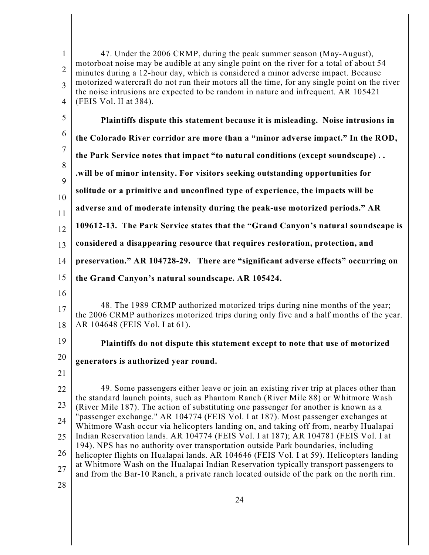1 2 3 4 5 6 7 8 9 10 11 12 13 14 15 16 17 18 19 20 21 22 23 24 25 26 27 28 47. Under the 2006 CRMP, during the peak summer season (May-August), motorboat noise may be audible at any single point on the river for a total of about 54 minutes during a 12-hour day, which is considered a minor adverse impact. Because motorized watercraft do not run their motors all the time, for any single point on the river the noise intrusions are expected to be random in nature and infrequent. AR 105421 (FEIS Vol. II at 384). **Plaintiffs dispute this statement because it is misleading. Noise intrusions in the Colorado River corridor are more than a "minor adverse impact." In the ROD, the Park Service notes that impact "to natural conditions (except soundscape) . . .will be of minor intensity. For visitors seeking outstanding opportunities for solitude or a primitive and unconfined type of experience, the impacts will be adverse and of moderate intensity during the peak-use motorized periods." AR 109612-13. The Park Service states that the "Grand Canyon's natural soundscape is considered a disappearing resource that requires restoration, protection, and preservation." AR 104728-29. There are "significant adverse effects" occurring on the Grand Canyon's natural soundscape. AR 105424.**  48. The 1989 CRMP authorized motorized trips during nine months of the year; the 2006 CRMP authorizes motorized trips during only five and a half months of the year. AR 104648 (FEIS Vol. I at 61). **Plaintiffs do not dispute this statement except to note that use of motorized generators is authorized year round.** 49. Some passengers either leave or join an existing river trip at places other than the standard launch points, such as Phantom Ranch (River Mile 88) or Whitmore Wash (River Mile 187). The action of substituting one passenger for another is known as a "passenger exchange." AR 104774 (FEIS Vol. I at 187). Most passenger exchanges at Whitmore Wash occur via helicopters landing on, and taking off from, nearby Hualapai Indian Reservation lands. AR 104774 (FEIS Vol. I at 187); AR 104781 (FEIS Vol. I at 194). NPS has no authority over transportation outside Park boundaries, including helicopter flights on Hualapai lands. AR 104646 (FEIS Vol. I at 59). Helicopters landing at Whitmore Wash on the Hualapai Indian Reservation typically transport passengers to and from the Bar-10 Ranch, a private ranch located outside of the park on the north rim.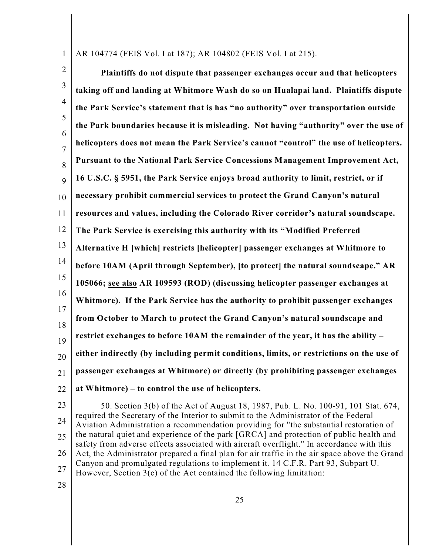1 AR 104774 (FEIS Vol. I at 187); AR 104802 (FEIS Vol. I at 215).

2 3 4 5 6 7 8 9 10 11 12 13 14 15 16 17 18 19 20 21 22 **Plaintiffs do not dispute that passenger exchanges occur and that helicopters taking off and landing at Whitmore Wash do so on Hualapai land. Plaintiffs dispute the Park Service's statement that is has "no authority" over transportation outside the Park boundaries because it is misleading. Not having "authority" over the use of helicopters does not mean the Park Service's cannot "control" the use of helicopters. Pursuant to the National Park Service Concessions Management Improvement Act, 16 U.S.C. § 5951, the Park Service enjoys broad authority to limit, restrict, or if necessary prohibit commercial services to protect the Grand Canyon's natural resources and values, including the Colorado River corridor's natural soundscape. The Park Service is exercising this authority with its "Modified Preferred Alternative H [which] restricts [helicopter] passenger exchanges at Whitmore to before 10AM (April through September), [to protect] the natural soundscape." AR 105066; see also AR 109593 (ROD) (discussing helicopter passenger exchanges at Whitmore). If the Park Service has the authority to prohibit passenger exchanges from October to March to protect the Grand Canyon's natural soundscape and restrict exchanges to before 10AM the remainder of the year, it has the ability – either indirectly (by including permit conditions, limits, or restrictions on the use of passenger exchanges at Whitmore) or directly (by prohibiting passenger exchanges at Whitmore) – to control the use of helicopters.** 

23 24 25 26 27 50. Section 3(b) of the Act of August 18, 1987, Pub. L. No. 100-91, 101 Stat. 674, required the Secretary of the Interior to submit to the Administrator of the Federal Aviation Administration a recommendation providing for "the substantial restoration of the natural quiet and experience of the park [GRCA] and protection of public health and safety from adverse effects associated with aircraft overflight." In accordance with this Act, the Administrator prepared a final plan for air traffic in the air space above the Grand Canyon and promulgated regulations to implement it. 14 C.F.R. Part 93, Subpart U. However, Section 3(c) of the Act contained the following limitation: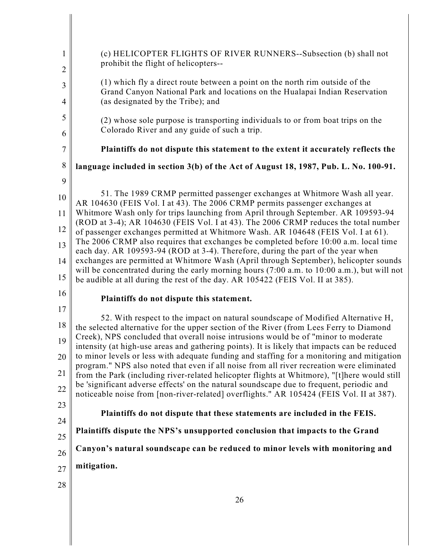| $\mathbf{1}$<br>$\overline{2}$ | (c) HELICOPTER FLIGHTS OF RIVER RUNNERS--Subsection (b) shall not<br>prohibit the flight of helicopters--                                                                                |
|--------------------------------|------------------------------------------------------------------------------------------------------------------------------------------------------------------------------------------|
| 3                              | (1) which fly a direct route between a point on the north rim outside of the                                                                                                             |
| $\overline{4}$                 | Grand Canyon National Park and locations on the Hualapai Indian Reservation<br>(as designated by the Tribe); and                                                                         |
| 5                              | (2) whose sole purpose is transporting individuals to or from boat trips on the                                                                                                          |
| 6                              | Colorado River and any guide of such a trip.                                                                                                                                             |
| $\boldsymbol{7}$               | Plaintiffs do not dispute this statement to the extent it accurately reflects the                                                                                                        |
| $8\,$                          | language included in section 3(b) of the Act of August 18, 1987, Pub. L. No. 100-91.                                                                                                     |
| 9                              | 51. The 1989 CRMP permitted passenger exchanges at Whitmore Wash all year.                                                                                                               |
| 10<br>11                       | AR 104630 (FEIS Vol. I at 43). The 2006 CRMP permits passenger exchanges at<br>Whitmore Wash only for trips launching from April through September. AR 109593-94                         |
| 12                             | (ROD at 3-4); AR 104630 (FEIS Vol. I at 43). The 2006 CRMP reduces the total number<br>of passenger exchanges permitted at Whitmore Wash. AR 104648 (FEIS Vol. I at 61).                 |
| 13                             | The 2006 CRMP also requires that exchanges be completed before 10:00 a.m. local time                                                                                                     |
| 14                             | each day. AR 109593-94 (ROD at 3-4). Therefore, during the part of the year when<br>exchanges are permitted at Whitmore Wash (April through September), helicopter sounds                |
| 15                             | will be concentrated during the early morning hours (7:00 a.m. to 10:00 a.m.), but will not<br>be audible at all during the rest of the day. AR 105422 (FEIS Vol. II at 385).            |
| 16                             | Plaintiffs do not dispute this statement.                                                                                                                                                |
| 17                             | 52. With respect to the impact on natural soundscape of Modified Alternative H,                                                                                                          |
| 18                             | the selected alternative for the upper section of the River (from Lees Ferry to Diamond<br>Creek), NPS concluded that overall noise intrusions would be of "minor to moderate"           |
| 19                             | intensity (at high-use areas and gathering points). It is likely that impacts can be reduced                                                                                             |
| 20                             | to minor levels or less with adequate funding and staffing for a monitoring and mitigation<br>program." NPS also noted that even if all noise from all river recreation were eliminated  |
| 21<br>22                       | from the Park (including river-related helicopter flights at Whitmore), "[t]here would still<br>be 'significant adverse effects' on the natural soundscape due to frequent, periodic and |
| 23                             | noticeable noise from [non-river-related] overflights." AR 105424 (FEIS Vol. II at 387).                                                                                                 |
| 24                             | Plaintiffs do not dispute that these statements are included in the FEIS.                                                                                                                |
| 25                             | Plaintiffs dispute the NPS's unsupported conclusion that impacts to the Grand                                                                                                            |
| 26                             | Canyon's natural soundscape can be reduced to minor levels with monitoring and                                                                                                           |
| 27                             | mitigation.                                                                                                                                                                              |
| 28                             |                                                                                                                                                                                          |
|                                | 26                                                                                                                                                                                       |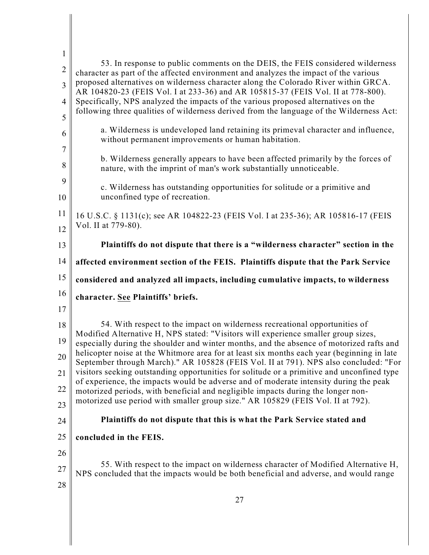| $\mathbf{1}$   | 53. In response to public comments on the DEIS, the FEIS considered wilderness                                                                                                                                                                                               |
|----------------|------------------------------------------------------------------------------------------------------------------------------------------------------------------------------------------------------------------------------------------------------------------------------|
| $\overline{2}$ | character as part of the affected environment and analyzes the impact of the various                                                                                                                                                                                         |
| $\overline{3}$ | proposed alternatives on wilderness character along the Colorado River within GRCA.<br>AR 104820-23 (FEIS Vol. I at 233-36) and AR 105815-37 (FEIS Vol. II at 778-800).                                                                                                      |
| $\overline{4}$ | Specifically, NPS analyzed the impacts of the various proposed alternatives on the<br>following three qualities of wilderness derived from the language of the Wilderness Act:                                                                                               |
| 5              |                                                                                                                                                                                                                                                                              |
| 6              | a. Wilderness is undeveloped land retaining its primeval character and influence,<br>without permanent improvements or human habitation.                                                                                                                                     |
| 7<br>8         | b. Wilderness generally appears to have been affected primarily by the forces of<br>nature, with the imprint of man's work substantially unnoticeable.                                                                                                                       |
| 9<br>10        | c. Wilderness has outstanding opportunities for solitude or a primitive and<br>unconfined type of recreation.                                                                                                                                                                |
| 11             | 16 U.S.C. § 1131(c); see AR 104822-23 (FEIS Vol. I at 235-36); AR 105816-17 (FEIS                                                                                                                                                                                            |
| 12             | Vol. II at 779-80).                                                                                                                                                                                                                                                          |
| 13             | Plaintiffs do not dispute that there is a "wilderness character" section in the                                                                                                                                                                                              |
| 14             | affected environment section of the FEIS. Plaintiffs dispute that the Park Service                                                                                                                                                                                           |
| 15             | considered and analyzed all impacts, including cumulative impacts, to wilderness                                                                                                                                                                                             |
| 16             | character. See Plaintiffs' briefs.                                                                                                                                                                                                                                           |
| 17             |                                                                                                                                                                                                                                                                              |
| 18             | 54. With respect to the impact on wilderness recreational opportunities of                                                                                                                                                                                                   |
| 19             | Modified Alternative H, NPS stated: "Visitors will experience smaller group sizes,<br>especially during the shoulder and winter months, and the absence of motorized rafts and<br>helicopter noise at the Whitmore area for at least six months each year (beginning in late |
| 20             | September through March)." AR 105828 (FEIS Vol. II at 791). NPS also concluded: "For                                                                                                                                                                                         |
| 21             | visitors seeking outstanding opportunities for solitude or a primitive and unconfined type<br>of experience, the impacts would be adverse and of moderate intensity during the peak                                                                                          |
| 22             | motorized periods, with beneficial and negligible impacts during the longer non-                                                                                                                                                                                             |
| 23             | motorized use period with smaller group size." AR 105829 (FEIS Vol. II at 792).                                                                                                                                                                                              |
| 24             | Plaintiffs do not dispute that this is what the Park Service stated and                                                                                                                                                                                                      |
| 25             | concluded in the FEIS.                                                                                                                                                                                                                                                       |
| 26             |                                                                                                                                                                                                                                                                              |
| 27             | 55. With respect to the impact on wilderness character of Modified Alternative H,<br>NPS concluded that the impacts would be both beneficial and adverse, and would range                                                                                                    |
| 28             |                                                                                                                                                                                                                                                                              |
|                | 27                                                                                                                                                                                                                                                                           |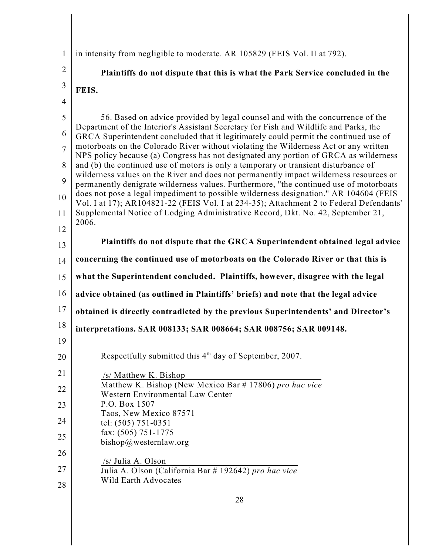1 in intensity from negligible to moderate. AR 105829 (FEIS Vol. II at 792).

2 3 4 5 6 7 8 9 10 11 12 13 14 15 16 17 18 19 20 21 22 23 24 25 26 27 **Plaintiffs do not dispute that this is what the Park Service concluded in the FEIS.** 56. Based on advice provided by legal counsel and with the concurrence of the Department of the Interior's Assistant Secretary for Fish and Wildlife and Parks, the GRCA Superintendent concluded that it legitimately could permit the continued use of motorboats on the Colorado River without violating the Wilderness Act or any written NPS policy because (a) Congress has not designated any portion of GRCA as wilderness and (b) the continued use of motors is only a temporary or transient disturbance of wilderness values on the River and does not permanently impact wilderness resources or permanently denigrate wilderness values. Furthermore, "the continued use of motorboats does not pose a legal impediment to possible wilderness designation." AR 104604 (FEIS Vol. I at 17); AR104821-22 (FEIS Vol. I at 234-35); Attachment 2 to Federal Defendants' Supplemental Notice of Lodging Administrative Record, Dkt. No. 42, September 21, 2006. **Plaintiffs do not dispute that the GRCA Superintendent obtained legal advice concerning the continued use of motorboats on the Colorado River or that this is what the Superintendent concluded. Plaintiffs, however, disagree with the legal advice obtained (as outlined in Plaintiffs' briefs) and note that the legal advice obtained is directly contradicted by the previous Superintendents' and Director's interpretations. SAR 008133; SAR 008664; SAR 008756; SAR 009148.** Respectfully submitted this  $4<sup>th</sup>$  day of September, 2007. /s/ Matthew K. Bishop Matthew K. Bishop (New Mexico Bar # 17806) *pro hac vice* Western Environmental Law Center P.O. Box 1507 Taos, New Mexico 87571 tel: (505) 751-0351 fax: (505) 751-1775 bishop@westernlaw.org /s/ Julia A. Olson

Julia A. Olson (California Bar # 192642) *pro hac vice* Wild Earth Advocates